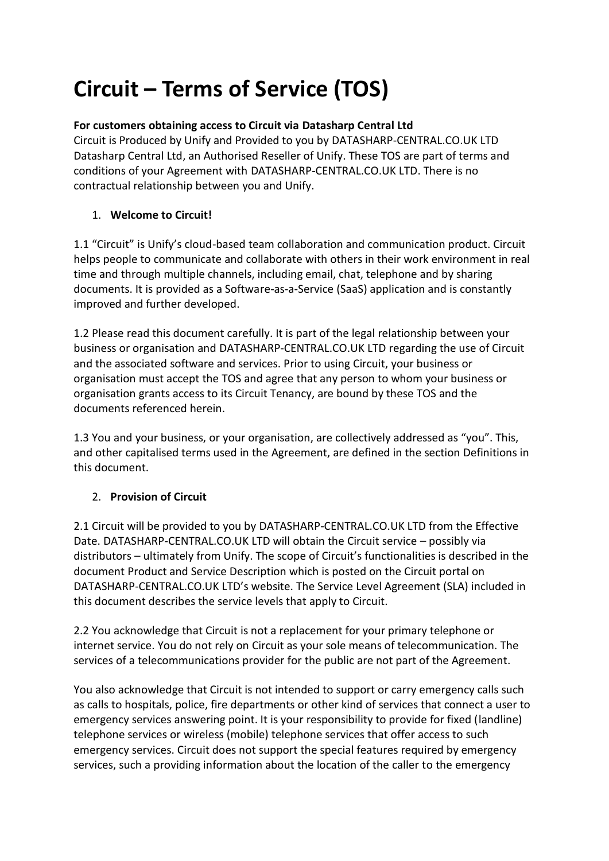# **Circuit – Terms of Service (TOS)**

# **For customers obtaining access to Circuit via Datasharp Central Ltd**

Circuit is Produced by Unify and Provided to you by DATASHARP-CENTRAL.CO.UK LTD Datasharp Central Ltd, an Authorised Reseller of Unify. These TOS are part of terms and conditions of your Agreement with DATASHARP-CENTRAL.CO.UK LTD. There is no contractual relationship between you and Unify.

# 1. **Welcome to Circuit!**

1.1 "Circuit" is Unify's cloud-based team collaboration and communication product. Circuit helps people to communicate and collaborate with others in their work environment in real time and through multiple channels, including email, chat, telephone and by sharing documents. It is provided as a Software-as-a-Service (SaaS) application and is constantly improved and further developed.

1.2 Please read this document carefully. It is part of the legal relationship between your business or organisation and DATASHARP-CENTRAL.CO.UK LTD regarding the use of Circuit and the associated software and services. Prior to using Circuit, your business or organisation must accept the TOS and agree that any person to whom your business or organisation grants access to its Circuit Tenancy, are bound by these TOS and the documents referenced herein.

1.3 You and your business, or your organisation, are collectively addressed as "you". This, and other capitalised terms used in the Agreement, are defined in the section Definitions in this document.

# 2. **Provision of Circuit**

2.1 Circuit will be provided to you by DATASHARP-CENTRAL.CO.UK LTD from the Effective Date. DATASHARP-CENTRAL.CO.UK LTD will obtain the Circuit service – possibly via distributors – ultimately from Unify. The scope of Circuit's functionalities is described in the document Product and Service Description which is posted on the Circuit portal on DATASHARP-CENTRAL.CO.UK LTD's website. The Service Level Agreement (SLA) included in this document describes the service levels that apply to Circuit.

2.2 You acknowledge that Circuit is not a replacement for your primary telephone or internet service. You do not rely on Circuit as your sole means of telecommunication. The services of a telecommunications provider for the public are not part of the Agreement.

You also acknowledge that Circuit is not intended to support or carry emergency calls such as calls to hospitals, police, fire departments or other kind of services that connect a user to emergency services answering point. It is your responsibility to provide for fixed (landline) telephone services or wireless (mobile) telephone services that offer access to such emergency services. Circuit does not support the special features required by emergency services, such a providing information about the location of the caller to the emergency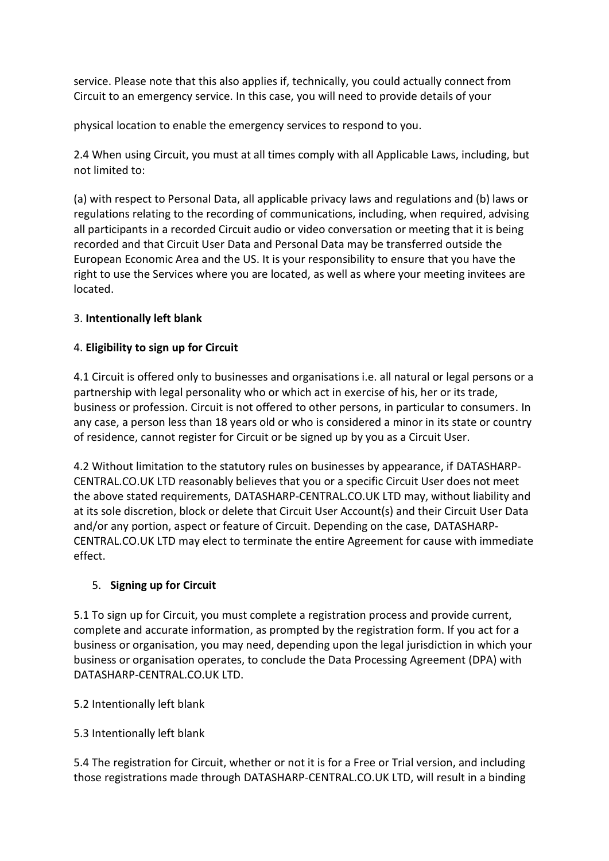service. Please note that this also applies if, technically, you could actually connect from Circuit to an emergency service. In this case, you will need to provide details of your

physical location to enable the emergency services to respond to you.

2.4 When using Circuit, you must at all times comply with all Applicable Laws, including, but not limited to:

(a) with respect to Personal Data, all applicable privacy laws and regulations and (b) laws or regulations relating to the recording of communications, including, when required, advising all participants in a recorded Circuit audio or video conversation or meeting that it is being recorded and that Circuit User Data and Personal Data may be transferred outside the European Economic Area and the US. It is your responsibility to ensure that you have the right to use the Services where you are located, as well as where your meeting invitees are located.

## 3. **Intentionally left blank**

# 4. **Eligibility to sign up for Circuit**

4.1 Circuit is offered only to businesses and organisations i.e. all natural or legal persons or a partnership with legal personality who or which act in exercise of his, her or its trade, business or profession. Circuit is not offered to other persons, in particular to consumers. In any case, a person less than 18 years old or who is considered a minor in its state or country of residence, cannot register for Circuit or be signed up by you as a Circuit User.

4.2 Without limitation to the statutory rules on businesses by appearance, if DATASHARP-CENTRAL.CO.UK LTD reasonably believes that you or a specific Circuit User does not meet the above stated requirements, DATASHARP-CENTRAL.CO.UK LTD may, without liability and at its sole discretion, block or delete that Circuit User Account(s) and their Circuit User Data and/or any portion, aspect or feature of Circuit. Depending on the case, DATASHARP-CENTRAL.CO.UK LTD may elect to terminate the entire Agreement for cause with immediate effect.

# 5. **Signing up for Circuit**

5.1 To sign up for Circuit, you must complete a registration process and provide current, complete and accurate information, as prompted by the registration form. If you act for a business or organisation, you may need, depending upon the legal jurisdiction in which your business or organisation operates, to conclude the Data Processing Agreement (DPA) with DATASHARP-CENTRAL.CO.UK LTD.

#### 5.2 Intentionally left blank

5.3 Intentionally left blank

5.4 The registration for Circuit, whether or not it is for a Free or Trial version, and including those registrations made through DATASHARP-CENTRAL.CO.UK LTD, will result in a binding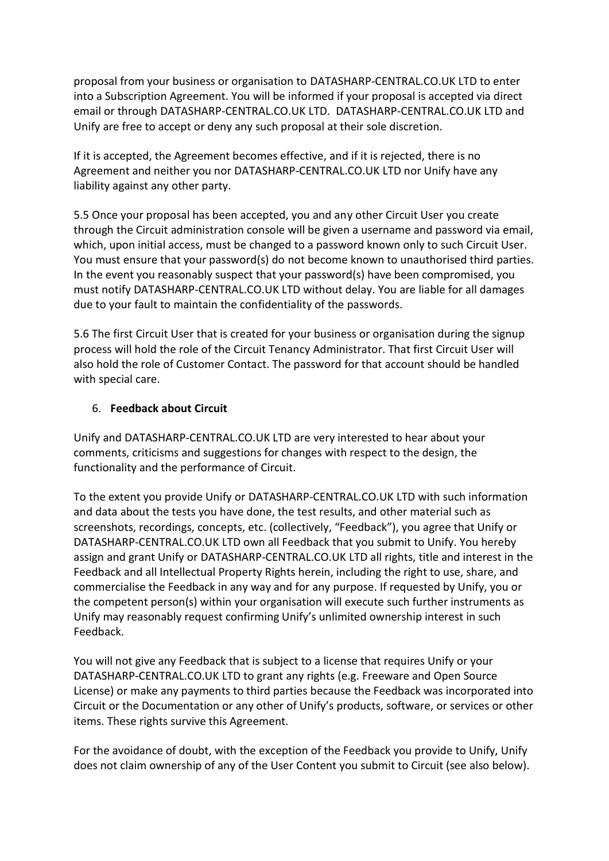proposal from your business or organisation to DATASHARP-CENTRAL.CO.UK LTD to enter into a Subscription Agreement. You will be informed if your proposal is accepted via direct email or through DATASHARP-CENTRAL.CO.UK LTD. DATASHARP-CENTRAL.CO.UK LTD and Unify are free to accept or deny any such proposal at their sole discretion.

If it is accepted, the Agreement becomes effective, and if it is rejected, there is no Agreement and neither you nor DATASHARP-CENTRAL.CO.UK LTD nor Unify have any liability against any other party.

5.5 Once your proposal has been accepted, you and any other Circuit User you create through the Circuit administration console will be given a username and password via email, which, upon initial access, must be changed to a password known only to such Circuit User. You must ensure that your password(s) do not become known to unauthorised third parties. In the event you reasonably suspect that your password(s) have been compromised, you must notify DATASHARP-CENTRAL.CO.UK LTD without delay. You are liable for all damages due to your fault to maintain the confidentiality of the passwords.

5.6 The first Circuit User that is created for your business or organisation during the signup process will hold the role of the Circuit Tenancy Administrator. That first Circuit User will also hold the role of Customer Contact. The password for that account should be handled with special care.

#### 6. **Feedback about Circuit**

Unify and DATASHARP-CENTRAL.CO.UK LTD are very interested to hear about your comments, criticisms and suggestions for changes with respect to the design, the functionality and the performance of Circuit.

To the extent you provide Unify or DATASHARP-CENTRAL.CO.UK LTD with such information and data about the tests you have done, the test results, and other material such as screenshots, recordings, concepts, etc. (collectively, "Feedback"), you agree that Unify or DATASHARP-CENTRAL.CO.UK LTD own all Feedback that you submit to Unify. You hereby assign and grant Unify or DATASHARP-CENTRAL.CO.UK LTD all rights, title and interest in the Feedback and all Intellectual Property Rights herein, including the right to use, share, and commercialise the Feedback in any way and for any purpose. If requested by Unify, you or the competent person(s) within your organisation will execute such further instruments as Unify may reasonably request confirming Unify's unlimited ownership interest in such Feedback.

You will not give any Feedback that is subject to a license that requires Unify or your DATASHARP-CENTRAL.CO.UK LTD to grant any rights (e.g. Freeware and Open Source License) or make any payments to third parties because the Feedback was incorporated into Circuit or the Documentation or any other of Unify's products, software, or services or other items. These rights survive this Agreement.

For the avoidance of doubt, with the exception of the Feedback you provide to Unify, Unify does not claim ownership of any of the User Content you submit to Circuit (see also below).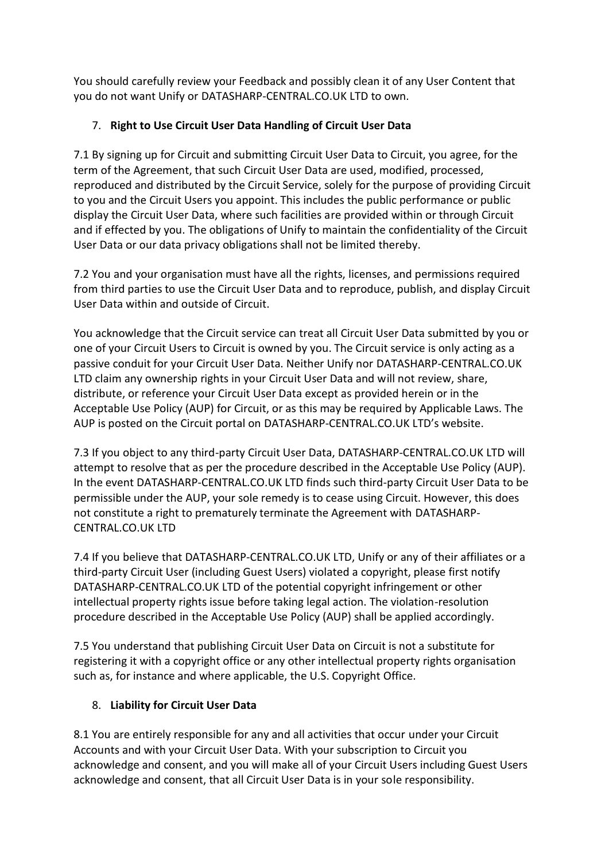You should carefully review your Feedback and possibly clean it of any User Content that you do not want Unify or DATASHARP-CENTRAL.CO.UK LTD to own.

# 7. **Right to Use Circuit User Data Handling of Circuit User Data**

7.1 By signing up for Circuit and submitting Circuit User Data to Circuit, you agree, for the term of the Agreement, that such Circuit User Data are used, modified, processed, reproduced and distributed by the Circuit Service, solely for the purpose of providing Circuit to you and the Circuit Users you appoint. This includes the public performance or public display the Circuit User Data, where such facilities are provided within or through Circuit and if effected by you. The obligations of Unify to maintain the confidentiality of the Circuit User Data or our data privacy obligations shall not be limited thereby.

7.2 You and your organisation must have all the rights, licenses, and permissions required from third parties to use the Circuit User Data and to reproduce, publish, and display Circuit User Data within and outside of Circuit.

You acknowledge that the Circuit service can treat all Circuit User Data submitted by you or one of your Circuit Users to Circuit is owned by you. The Circuit service is only acting as a passive conduit for your Circuit User Data. Neither Unify nor DATASHARP-CENTRAL.CO.UK LTD claim any ownership rights in your Circuit User Data and will not review, share, distribute, or reference your Circuit User Data except as provided herein or in the Acceptable Use Policy (AUP) for Circuit, or as this may be required by Applicable Laws. The AUP is posted on the Circuit portal on DATASHARP-CENTRAL.CO.UK LTD's website.

7.3 If you object to any third-party Circuit User Data, DATASHARP-CENTRAL.CO.UK LTD will attempt to resolve that as per the procedure described in the Acceptable Use Policy (AUP). In the event DATASHARP-CENTRAL.CO.UK LTD finds such third-party Circuit User Data to be permissible under the AUP, your sole remedy is to cease using Circuit. However, this does not constitute a right to prematurely terminate the Agreement with DATASHARP-CENTRAL.CO.UK LTD

7.4 If you believe that DATASHARP-CENTRAL.CO.UK LTD, Unify or any of their affiliates or a third-party Circuit User (including Guest Users) violated a copyright, please first notify DATASHARP-CENTRAL.CO.UK LTD of the potential copyright infringement or other intellectual property rights issue before taking legal action. The violation-resolution procedure described in the Acceptable Use Policy (AUP) shall be applied accordingly.

7.5 You understand that publishing Circuit User Data on Circuit is not a substitute for registering it with a copyright office or any other intellectual property rights organisation such as, for instance and where applicable, the U.S. Copyright Office.

# 8. **Liability for Circuit User Data**

8.1 You are entirely responsible for any and all activities that occur under your Circuit Accounts and with your Circuit User Data. With your subscription to Circuit you acknowledge and consent, and you will make all of your Circuit Users including Guest Users acknowledge and consent, that all Circuit User Data is in your sole responsibility.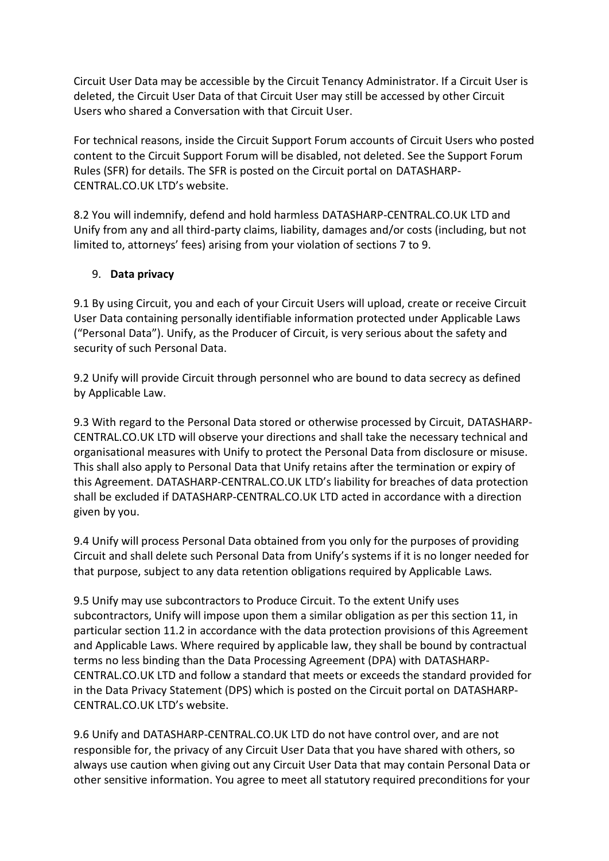Circuit User Data may be accessible by the Circuit Tenancy Administrator. If a Circuit User is deleted, the Circuit User Data of that Circuit User may still be accessed by other Circuit Users who shared a Conversation with that Circuit User.

For technical reasons, inside the Circuit Support Forum accounts of Circuit Users who posted content to the Circuit Support Forum will be disabled, not deleted. See the Support Forum Rules (SFR) for details. The SFR is posted on the Circuit portal on DATASHARP-CENTRAL.CO.UK LTD's website.

8.2 You will indemnify, defend and hold harmless DATASHARP-CENTRAL.CO.UK LTD and Unify from any and all third-party claims, liability, damages and/or costs (including, but not limited to, attorneys' fees) arising from your violation of sections 7 to 9.

## 9. **Data privacy**

9.1 By using Circuit, you and each of your Circuit Users will upload, create or receive Circuit User Data containing personally identifiable information protected under Applicable Laws ("Personal Data"). Unify, as the Producer of Circuit, is very serious about the safety and security of such Personal Data.

9.2 Unify will provide Circuit through personnel who are bound to data secrecy as defined by Applicable Law.

9.3 With regard to the Personal Data stored or otherwise processed by Circuit, DATASHARP-CENTRAL.CO.UK LTD will observe your directions and shall take the necessary technical and organisational measures with Unify to protect the Personal Data from disclosure or misuse. This shall also apply to Personal Data that Unify retains after the termination or expiry of this Agreement. DATASHARP-CENTRAL.CO.UK LTD's liability for breaches of data protection shall be excluded if DATASHARP-CENTRAL.CO.UK LTD acted in accordance with a direction given by you.

9.4 Unify will process Personal Data obtained from you only for the purposes of providing Circuit and shall delete such Personal Data from Unify's systems if it is no longer needed for that purpose, subject to any data retention obligations required by Applicable Laws.

9.5 Unify may use subcontractors to Produce Circuit. To the extent Unify uses subcontractors, Unify will impose upon them a similar obligation as per this section 11, in particular section 11.2 in accordance with the data protection provisions of this Agreement and Applicable Laws. Where required by applicable law, they shall be bound by contractual terms no less binding than the Data Processing Agreement (DPA) with DATASHARP-CENTRAL.CO.UK LTD and follow a standard that meets or exceeds the standard provided for in the Data Privacy Statement (DPS) which is posted on the Circuit portal on DATASHARP-CENTRAL.CO.UK LTD's website.

9.6 Unify and DATASHARP-CENTRAL.CO.UK LTD do not have control over, and are not responsible for, the privacy of any Circuit User Data that you have shared with others, so always use caution when giving out any Circuit User Data that may contain Personal Data or other sensitive information. You agree to meet all statutory required preconditions for your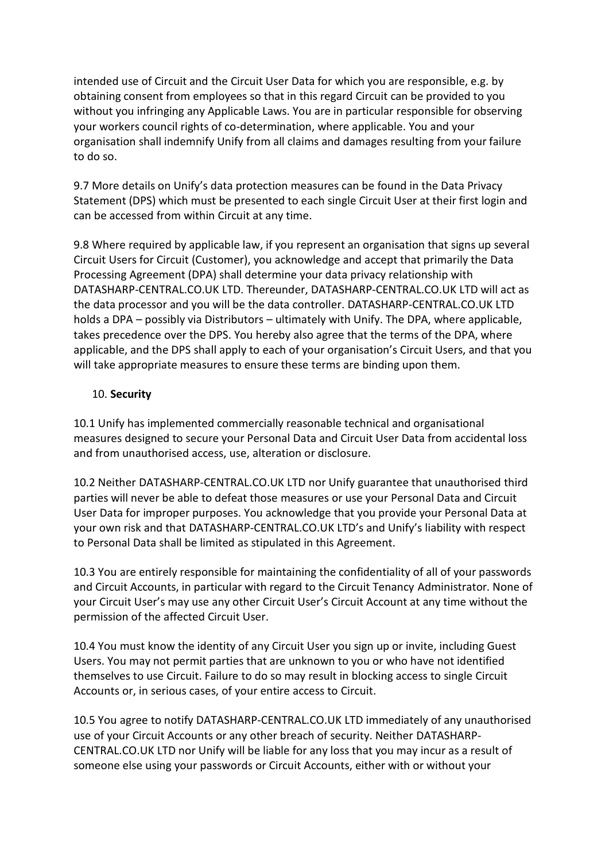intended use of Circuit and the Circuit User Data for which you are responsible, e.g. by obtaining consent from employees so that in this regard Circuit can be provided to you without you infringing any Applicable Laws. You are in particular responsible for observing your workers council rights of co-determination, where applicable. You and your organisation shall indemnify Unify from all claims and damages resulting from your failure to do so.

9.7 More details on Unify's data protection measures can be found in the Data Privacy Statement (DPS) which must be presented to each single Circuit User at their first login and can be accessed from within Circuit at any time.

9.8 Where required by applicable law, if you represent an organisation that signs up several Circuit Users for Circuit (Customer), you acknowledge and accept that primarily the Data Processing Agreement (DPA) shall determine your data privacy relationship with DATASHARP-CENTRAL.CO.UK LTD. Thereunder, DATASHARP-CENTRAL.CO.UK LTD will act as the data processor and you will be the data controller. DATASHARP-CENTRAL.CO.UK LTD holds a DPA – possibly via Distributors – ultimately with Unify. The DPA, where applicable, takes precedence over the DPS. You hereby also agree that the terms of the DPA, where applicable, and the DPS shall apply to each of your organisation's Circuit Users, and that you will take appropriate measures to ensure these terms are binding upon them.

#### 10. **Security**

10.1 Unify has implemented commercially reasonable technical and organisational measures designed to secure your Personal Data and Circuit User Data from accidental loss and from unauthorised access, use, alteration or disclosure.

10.2 Neither DATASHARP-CENTRAL.CO.UK LTD nor Unify guarantee that unauthorised third parties will never be able to defeat those measures or use your Personal Data and Circuit User Data for improper purposes. You acknowledge that you provide your Personal Data at your own risk and that DATASHARP-CENTRAL.CO.UK LTD's and Unify's liability with respect to Personal Data shall be limited as stipulated in this Agreement.

10.3 You are entirely responsible for maintaining the confidentiality of all of your passwords and Circuit Accounts, in particular with regard to the Circuit Tenancy Administrator. None of your Circuit User's may use any other Circuit User's Circuit Account at any time without the permission of the affected Circuit User.

10.4 You must know the identity of any Circuit User you sign up or invite, including Guest Users. You may not permit parties that are unknown to you or who have not identified themselves to use Circuit. Failure to do so may result in blocking access to single Circuit Accounts or, in serious cases, of your entire access to Circuit.

10.5 You agree to notify DATASHARP-CENTRAL.CO.UK LTD immediately of any unauthorised use of your Circuit Accounts or any other breach of security. Neither DATASHARP-CENTRAL.CO.UK LTD nor Unify will be liable for any loss that you may incur as a result of someone else using your passwords or Circuit Accounts, either with or without your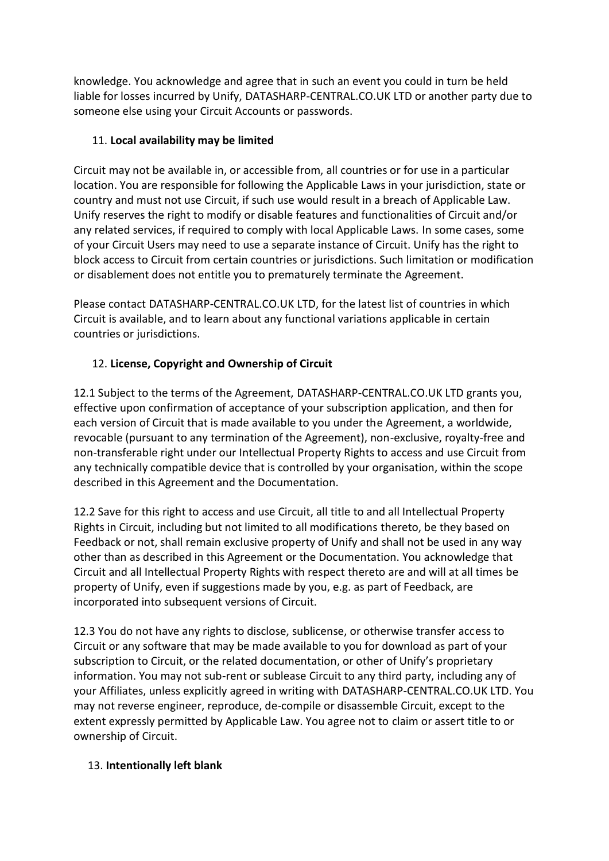knowledge. You acknowledge and agree that in such an event you could in turn be held liable for losses incurred by Unify, DATASHARP-CENTRAL.CO.UK LTD or another party due to someone else using your Circuit Accounts or passwords.

# 11. **Local availability may be limited**

Circuit may not be available in, or accessible from, all countries or for use in a particular location. You are responsible for following the Applicable Laws in your jurisdiction, state or country and must not use Circuit, if such use would result in a breach of Applicable Law. Unify reserves the right to modify or disable features and functionalities of Circuit and/or any related services, if required to comply with local Applicable Laws. In some cases, some of your Circuit Users may need to use a separate instance of Circuit. Unify has the right to block access to Circuit from certain countries or jurisdictions. Such limitation or modification or disablement does not entitle you to prematurely terminate the Agreement.

Please contact DATASHARP-CENTRAL.CO.UK LTD, for the latest list of countries in which Circuit is available, and to learn about any functional variations applicable in certain countries or jurisdictions.

# 12. **License, Copyright and Ownership of Circuit**

12.1 Subject to the terms of the Agreement, DATASHARP-CENTRAL.CO.UK LTD grants you, effective upon confirmation of acceptance of your subscription application, and then for each version of Circuit that is made available to you under the Agreement, a worldwide, revocable (pursuant to any termination of the Agreement), non-exclusive, royalty-free and non-transferable right under our Intellectual Property Rights to access and use Circuit from any technically compatible device that is controlled by your organisation, within the scope described in this Agreement and the Documentation.

12.2 Save for this right to access and use Circuit, all title to and all Intellectual Property Rights in Circuit, including but not limited to all modifications thereto, be they based on Feedback or not, shall remain exclusive property of Unify and shall not be used in any way other than as described in this Agreement or the Documentation. You acknowledge that Circuit and all Intellectual Property Rights with respect thereto are and will at all times be property of Unify, even if suggestions made by you, e.g. as part of Feedback, are incorporated into subsequent versions of Circuit.

12.3 You do not have any rights to disclose, sublicense, or otherwise transfer access to Circuit or any software that may be made available to you for download as part of your subscription to Circuit, or the related documentation, or other of Unify's proprietary information. You may not sub-rent or sublease Circuit to any third party, including any of your Affiliates, unless explicitly agreed in writing with DATASHARP-CENTRAL.CO.UK LTD. You may not reverse engineer, reproduce, de-compile or disassemble Circuit, except to the extent expressly permitted by Applicable Law. You agree not to claim or assert title to or ownership of Circuit.

# 13. **Intentionally left blank**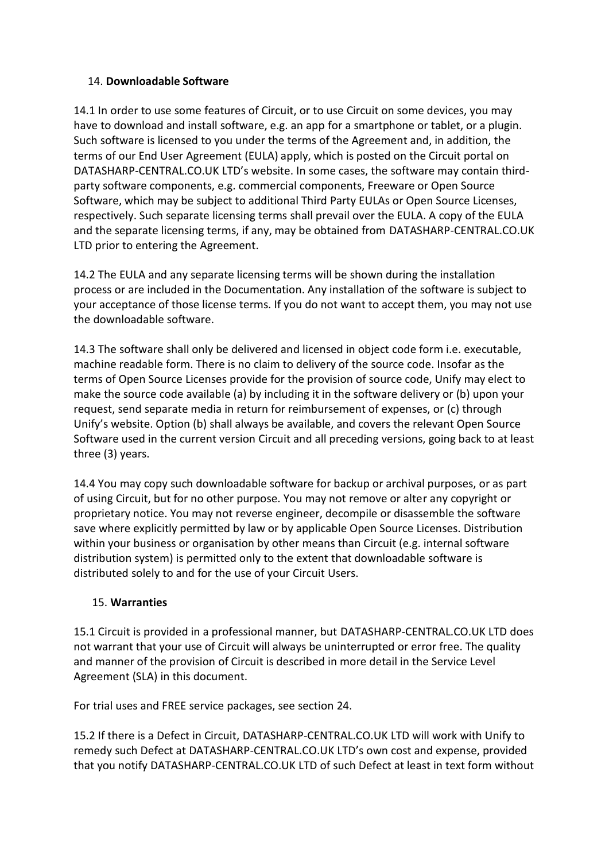#### 14. **Downloadable Software**

14.1 In order to use some features of Circuit, or to use Circuit on some devices, you may have to download and install software, e.g. an app for a smartphone or tablet, or a plugin. Such software is licensed to you under the terms of the Agreement and, in addition, the terms of our End User Agreement (EULA) apply, which is posted on the Circuit portal on DATASHARP-CENTRAL.CO.UK LTD's website. In some cases, the software may contain thirdparty software components, e.g. commercial components, Freeware or Open Source Software, which may be subject to additional Third Party EULAs or Open Source Licenses, respectively. Such separate licensing terms shall prevail over the EULA. A copy of the EULA and the separate licensing terms, if any, may be obtained from DATASHARP-CENTRAL.CO.UK LTD prior to entering the Agreement.

14.2 The EULA and any separate licensing terms will be shown during the installation process or are included in the Documentation. Any installation of the software is subject to your acceptance of those license terms. If you do not want to accept them, you may not use the downloadable software.

14.3 The software shall only be delivered and licensed in object code form i.e. executable, machine readable form. There is no claim to delivery of the source code. Insofar as the terms of Open Source Licenses provide for the provision of source code, Unify may elect to make the source code available (a) by including it in the software delivery or (b) upon your request, send separate media in return for reimbursement of expenses, or (c) through Unify's website. Option (b) shall always be available, and covers the relevant Open Source Software used in the current version Circuit and all preceding versions, going back to at least three (3) years.

14.4 You may copy such downloadable software for backup or archival purposes, or as part of using Circuit, but for no other purpose. You may not remove or alter any copyright or proprietary notice. You may not reverse engineer, decompile or disassemble the software save where explicitly permitted by law or by applicable Open Source Licenses. Distribution within your business or organisation by other means than Circuit (e.g. internal software distribution system) is permitted only to the extent that downloadable software is distributed solely to and for the use of your Circuit Users.

#### 15. **Warranties**

15.1 Circuit is provided in a professional manner, but DATASHARP-CENTRAL.CO.UK LTD does not warrant that your use of Circuit will always be uninterrupted or error free. The quality and manner of the provision of Circuit is described in more detail in the Service Level Agreement (SLA) in this document.

For trial uses and FREE service packages, see section 24.

15.2 If there is a Defect in Circuit, DATASHARP-CENTRAL.CO.UK LTD will work with Unify to remedy such Defect at DATASHARP-CENTRAL.CO.UK LTD's own cost and expense, provided that you notify DATASHARP-CENTRAL.CO.UK LTD of such Defect at least in text form without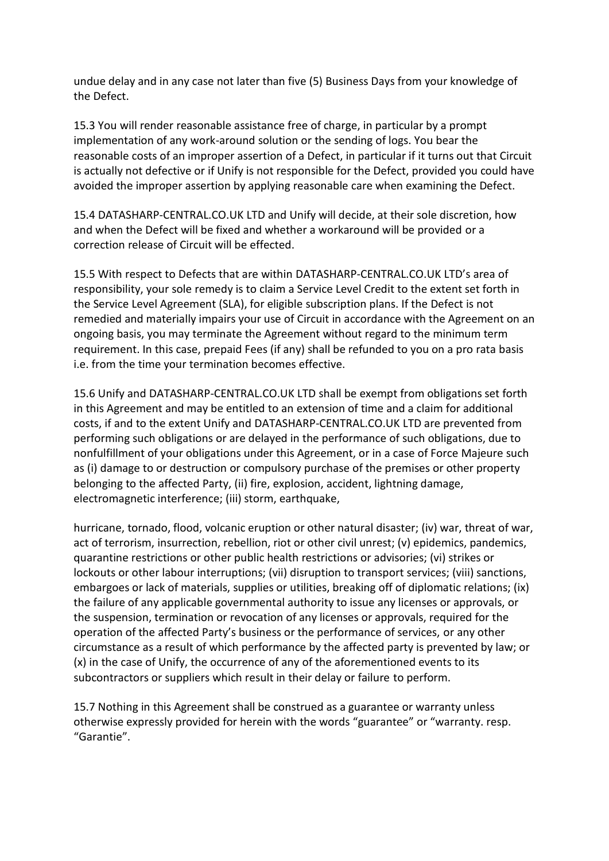undue delay and in any case not later than five (5) Business Days from your knowledge of the Defect.

15.3 You will render reasonable assistance free of charge, in particular by a prompt implementation of any work-around solution or the sending of logs. You bear the reasonable costs of an improper assertion of a Defect, in particular if it turns out that Circuit is actually not defective or if Unify is not responsible for the Defect, provided you could have avoided the improper assertion by applying reasonable care when examining the Defect.

15.4 DATASHARP-CENTRAL.CO.UK LTD and Unify will decide, at their sole discretion, how and when the Defect will be fixed and whether a workaround will be provided or a correction release of Circuit will be effected.

15.5 With respect to Defects that are within DATASHARP-CENTRAL.CO.UK LTD's area of responsibility, your sole remedy is to claim a Service Level Credit to the extent set forth in the Service Level Agreement (SLA), for eligible subscription plans. If the Defect is not remedied and materially impairs your use of Circuit in accordance with the Agreement on an ongoing basis, you may terminate the Agreement without regard to the minimum term requirement. In this case, prepaid Fees (if any) shall be refunded to you on a pro rata basis i.e. from the time your termination becomes effective.

15.6 Unify and DATASHARP-CENTRAL.CO.UK LTD shall be exempt from obligations set forth in this Agreement and may be entitled to an extension of time and a claim for additional costs, if and to the extent Unify and DATASHARP-CENTRAL.CO.UK LTD are prevented from performing such obligations or are delayed in the performance of such obligations, due to nonfulfillment of your obligations under this Agreement, or in a case of Force Majeure such as (i) damage to or destruction or compulsory purchase of the premises or other property belonging to the affected Party, (ii) fire, explosion, accident, lightning damage, electromagnetic interference; (iii) storm, earthquake,

hurricane, tornado, flood, volcanic eruption or other natural disaster; (iv) war, threat of war, act of terrorism, insurrection, rebellion, riot or other civil unrest; (v) epidemics, pandemics, quarantine restrictions or other public health restrictions or advisories; (vi) strikes or lockouts or other labour interruptions; (vii) disruption to transport services; (viii) sanctions, embargoes or lack of materials, supplies or utilities, breaking off of diplomatic relations; (ix) the failure of any applicable governmental authority to issue any licenses or approvals, or the suspension, termination or revocation of any licenses or approvals, required for the operation of the affected Party's business or the performance of services, or any other circumstance as a result of which performance by the affected party is prevented by law; or (x) in the case of Unify, the occurrence of any of the aforementioned events to its subcontractors or suppliers which result in their delay or failure to perform.

15.7 Nothing in this Agreement shall be construed as a guarantee or warranty unless otherwise expressly provided for herein with the words "guarantee" or "warranty. resp. "Garantie".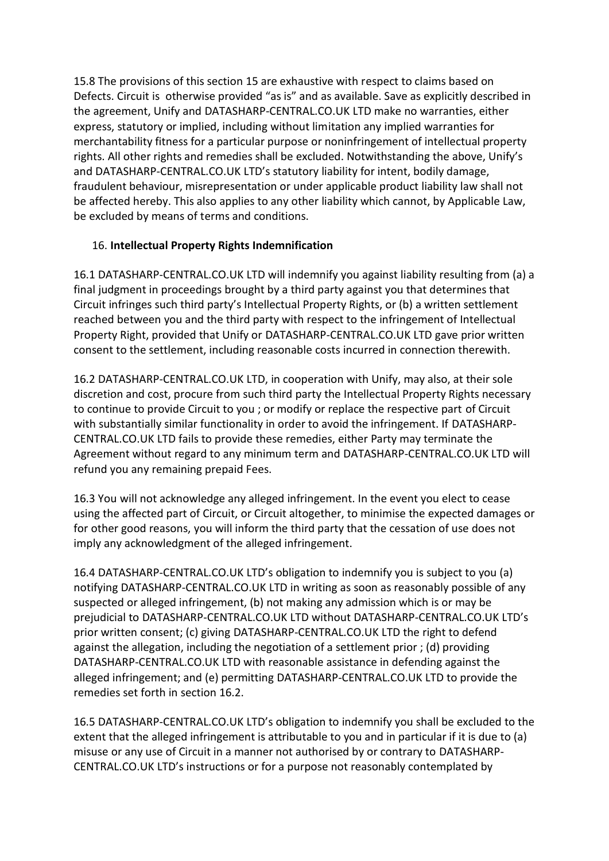15.8 The provisions of this section 15 are exhaustive with respect to claims based on Defects. Circuit is otherwise provided "as is" and as available. Save as explicitly described in the agreement, Unify and DATASHARP-CENTRAL.CO.UK LTD make no warranties, either express, statutory or implied, including without limitation any implied warranties for merchantability fitness for a particular purpose or noninfringement of intellectual property rights. All other rights and remedies shall be excluded. Notwithstanding the above, Unify's and DATASHARP-CENTRAL.CO.UK LTD's statutory liability for intent, bodily damage, fraudulent behaviour, misrepresentation or under applicable product liability law shall not be affected hereby. This also applies to any other liability which cannot, by Applicable Law, be excluded by means of terms and conditions.

## 16. **Intellectual Property Rights Indemnification**

16.1 DATASHARP-CENTRAL.CO.UK LTD will indemnify you against liability resulting from (a) a final judgment in proceedings brought by a third party against you that determines that Circuit infringes such third party's Intellectual Property Rights, or (b) a written settlement reached between you and the third party with respect to the infringement of Intellectual Property Right, provided that Unify or DATASHARP-CENTRAL.CO.UK LTD gave prior written consent to the settlement, including reasonable costs incurred in connection therewith.

16.2 DATASHARP-CENTRAL.CO.UK LTD, in cooperation with Unify, may also, at their sole discretion and cost, procure from such third party the Intellectual Property Rights necessary to continue to provide Circuit to you ; or modify or replace the respective part of Circuit with substantially similar functionality in order to avoid the infringement. If DATASHARP-CENTRAL.CO.UK LTD fails to provide these remedies, either Party may terminate the Agreement without regard to any minimum term and DATASHARP-CENTRAL.CO.UK LTD will refund you any remaining prepaid Fees.

16.3 You will not acknowledge any alleged infringement. In the event you elect to cease using the affected part of Circuit, or Circuit altogether, to minimise the expected damages or for other good reasons, you will inform the third party that the cessation of use does not imply any acknowledgment of the alleged infringement.

16.4 DATASHARP-CENTRAL.CO.UK LTD's obligation to indemnify you is subject to you (a) notifying DATASHARP-CENTRAL.CO.UK LTD in writing as soon as reasonably possible of any suspected or alleged infringement, (b) not making any admission which is or may be prejudicial to DATASHARP-CENTRAL.CO.UK LTD without DATASHARP-CENTRAL.CO.UK LTD's prior written consent; (c) giving DATASHARP-CENTRAL.CO.UK LTD the right to defend against the allegation, including the negotiation of a settlement prior ; (d) providing DATASHARP-CENTRAL.CO.UK LTD with reasonable assistance in defending against the alleged infringement; and (e) permitting DATASHARP-CENTRAL.CO.UK LTD to provide the remedies set forth in section 16.2.

16.5 DATASHARP-CENTRAL.CO.UK LTD's obligation to indemnify you shall be excluded to the extent that the alleged infringement is attributable to you and in particular if it is due to (a) misuse or any use of Circuit in a manner not authorised by or contrary to DATASHARP-CENTRAL.CO.UK LTD's instructions or for a purpose not reasonably contemplated by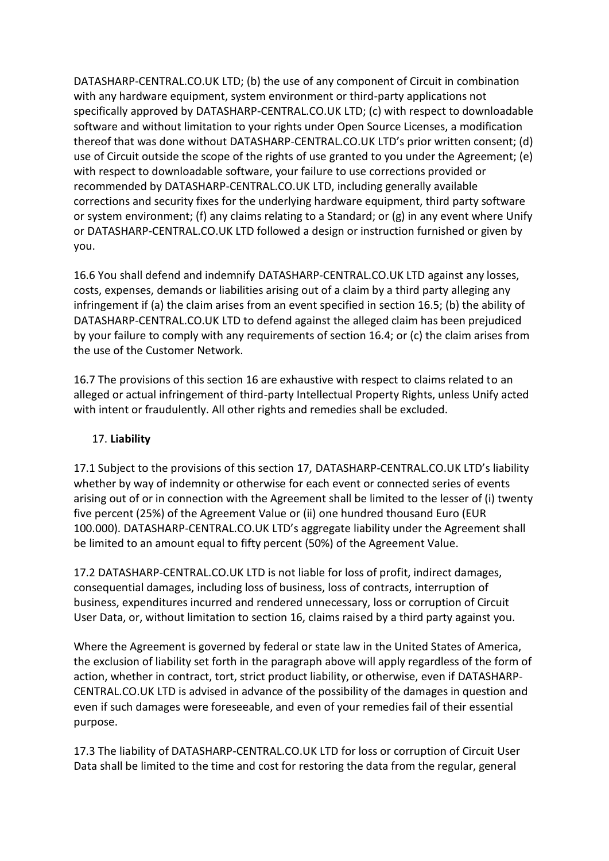DATASHARP-CENTRAL.CO.UK LTD; (b) the use of any component of Circuit in combination with any hardware equipment, system environment or third-party applications not specifically approved by DATASHARP-CENTRAL.CO.UK LTD; (c) with respect to downloadable software and without limitation to your rights under Open Source Licenses, a modification thereof that was done without DATASHARP-CENTRAL.CO.UK LTD's prior written consent; (d) use of Circuit outside the scope of the rights of use granted to you under the Agreement; (e) with respect to downloadable software, your failure to use corrections provided or recommended by DATASHARP-CENTRAL.CO.UK LTD, including generally available corrections and security fixes for the underlying hardware equipment, third party software or system environment; (f) any claims relating to a Standard; or  $(g)$  in any event where Unify or DATASHARP-CENTRAL.CO.UK LTD followed a design or instruction furnished or given by you.

16.6 You shall defend and indemnify DATASHARP-CENTRAL.CO.UK LTD against any losses, costs, expenses, demands or liabilities arising out of a claim by a third party alleging any infringement if (a) the claim arises from an event specified in section 16.5; (b) the ability of DATASHARP-CENTRAL.CO.UK LTD to defend against the alleged claim has been prejudiced by your failure to comply with any requirements of section 16.4; or (c) the claim arises from the use of the Customer Network.

16.7 The provisions of this section 16 are exhaustive with respect to claims related to an alleged or actual infringement of third-party Intellectual Property Rights, unless Unify acted with intent or fraudulently. All other rights and remedies shall be excluded.

#### 17. **Liability**

17.1 Subject to the provisions of this section 17, DATASHARP-CENTRAL.CO.UK LTD's liability whether by way of indemnity or otherwise for each event or connected series of events arising out of or in connection with the Agreement shall be limited to the lesser of (i) twenty five percent (25%) of the Agreement Value or (ii) one hundred thousand Euro (EUR 100.000). DATASHARP-CENTRAL.CO.UK LTD's aggregate liability under the Agreement shall be limited to an amount equal to fifty percent (50%) of the Agreement Value.

17.2 DATASHARP-CENTRAL.CO.UK LTD is not liable for loss of profit, indirect damages, consequential damages, including loss of business, loss of contracts, interruption of business, expenditures incurred and rendered unnecessary, loss or corruption of Circuit User Data, or, without limitation to section 16, claims raised by a third party against you.

Where the Agreement is governed by federal or state law in the United States of America, the exclusion of liability set forth in the paragraph above will apply regardless of the form of action, whether in contract, tort, strict product liability, or otherwise, even if DATASHARP-CENTRAL.CO.UK LTD is advised in advance of the possibility of the damages in question and even if such damages were foreseeable, and even of your remedies fail of their essential purpose.

17.3 The liability of DATASHARP-CENTRAL.CO.UK LTD for loss or corruption of Circuit User Data shall be limited to the time and cost for restoring the data from the regular, general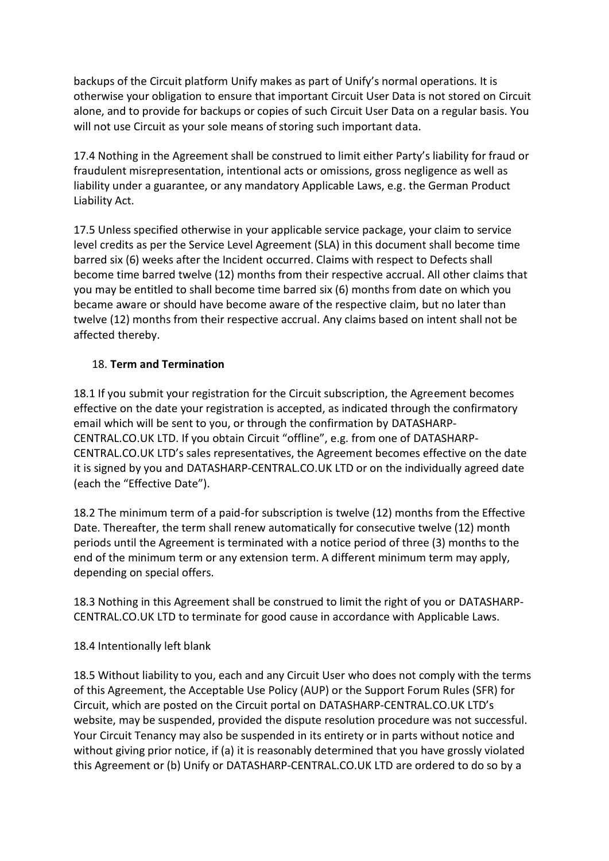backups of the Circuit platform Unify makes as part of Unify's normal operations. It is otherwise your obligation to ensure that important Circuit User Data is not stored on Circuit alone, and to provide for backups or copies of such Circuit User Data on a regular basis. You will not use Circuit as your sole means of storing such important data.

17.4 Nothing in the Agreement shall be construed to limit either Party's liability for fraud or fraudulent misrepresentation, intentional acts or omissions, gross negligence as well as liability under a guarantee, or any mandatory Applicable Laws, e.g. the German Product Liability Act.

17.5 Unless specified otherwise in your applicable service package, your claim to service level credits as per the Service Level Agreement (SLA) in this document shall become time barred six (6) weeks after the Incident occurred. Claims with respect to Defects shall become time barred twelve (12) months from their respective accrual. All other claims that you may be entitled to shall become time barred six (6) months from date on which you became aware or should have become aware of the respective claim, but no later than twelve (12) months from their respective accrual. Any claims based on intent shall not be affected thereby.

## 18. **Term and Termination**

18.1 If you submit your registration for the Circuit subscription, the Agreement becomes effective on the date your registration is accepted, as indicated through the confirmatory email which will be sent to you, or through the confirmation by DATASHARP-CENTRAL.CO.UK LTD. If you obtain Circuit "offline", e.g. from one of DATASHARP-CENTRAL.CO.UK LTD's sales representatives, the Agreement becomes effective on the date it is signed by you and DATASHARP-CENTRAL.CO.UK LTD or on the individually agreed date (each the "Effective Date").

18.2 The minimum term of a paid-for subscription is twelve (12) months from the Effective Date. Thereafter, the term shall renew automatically for consecutive twelve (12) month periods until the Agreement is terminated with a notice period of three (3) months to the end of the minimum term or any extension term. A different minimum term may apply, depending on special offers.

18.3 Nothing in this Agreement shall be construed to limit the right of you or DATASHARP-CENTRAL.CO.UK LTD to terminate for good cause in accordance with Applicable Laws.

#### 18.4 Intentionally left blank

18.5 Without liability to you, each and any Circuit User who does not comply with the terms of this Agreement, the Acceptable Use Policy (AUP) or the Support Forum Rules (SFR) for Circuit, which are posted on the Circuit portal on DATASHARP-CENTRAL.CO.UK LTD's website, may be suspended, provided the dispute resolution procedure was not successful. Your Circuit Tenancy may also be suspended in its entirety or in parts without notice and without giving prior notice, if (a) it is reasonably determined that you have grossly violated this Agreement or (b) Unify or DATASHARP-CENTRAL.CO.UK LTD are ordered to do so by a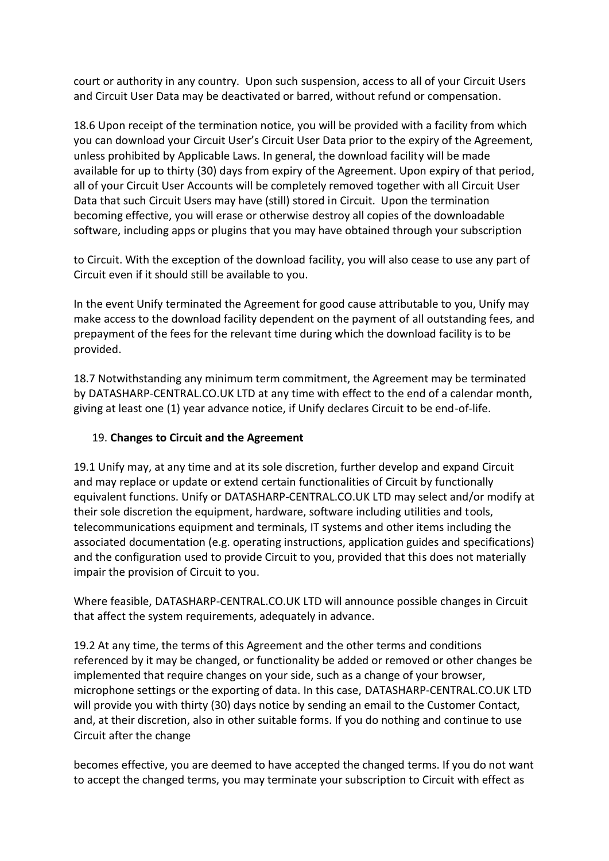court or authority in any country. Upon such suspension, access to all of your Circuit Users and Circuit User Data may be deactivated or barred, without refund or compensation.

18.6 Upon receipt of the termination notice, you will be provided with a facility from which you can download your Circuit User's Circuit User Data prior to the expiry of the Agreement, unless prohibited by Applicable Laws. In general, the download facility will be made available for up to thirty (30) days from expiry of the Agreement. Upon expiry of that period, all of your Circuit User Accounts will be completely removed together with all Circuit User Data that such Circuit Users may have (still) stored in Circuit. Upon the termination becoming effective, you will erase or otherwise destroy all copies of the downloadable software, including apps or plugins that you may have obtained through your subscription

to Circuit. With the exception of the download facility, you will also cease to use any part of Circuit even if it should still be available to you.

In the event Unify terminated the Agreement for good cause attributable to you, Unify may make access to the download facility dependent on the payment of all outstanding fees, and prepayment of the fees for the relevant time during which the download facility is to be provided.

18.7 Notwithstanding any minimum term commitment, the Agreement may be terminated by DATASHARP-CENTRAL.CO.UK LTD at any time with effect to the end of a calendar month, giving at least one (1) year advance notice, if Unify declares Circuit to be end-of-life.

#### 19. **Changes to Circuit and the Agreement**

19.1 Unify may, at any time and at its sole discretion, further develop and expand Circuit and may replace or update or extend certain functionalities of Circuit by functionally equivalent functions. Unify or DATASHARP-CENTRAL.CO.UK LTD may select and/or modify at their sole discretion the equipment, hardware, software including utilities and tools, telecommunications equipment and terminals, IT systems and other items including the associated documentation (e.g. operating instructions, application guides and specifications) and the configuration used to provide Circuit to you, provided that this does not materially impair the provision of Circuit to you.

Where feasible, DATASHARP-CENTRAL.CO.UK LTD will announce possible changes in Circuit that affect the system requirements, adequately in advance.

19.2 At any time, the terms of this Agreement and the other terms and conditions referenced by it may be changed, or functionality be added or removed or other changes be implemented that require changes on your side, such as a change of your browser, microphone settings or the exporting of data. In this case, DATASHARP-CENTRAL.CO.UK LTD will provide you with thirty (30) days notice by sending an email to the Customer Contact, and, at their discretion, also in other suitable forms. If you do nothing and continue to use Circuit after the change

becomes effective, you are deemed to have accepted the changed terms. If you do not want to accept the changed terms, you may terminate your subscription to Circuit with effect as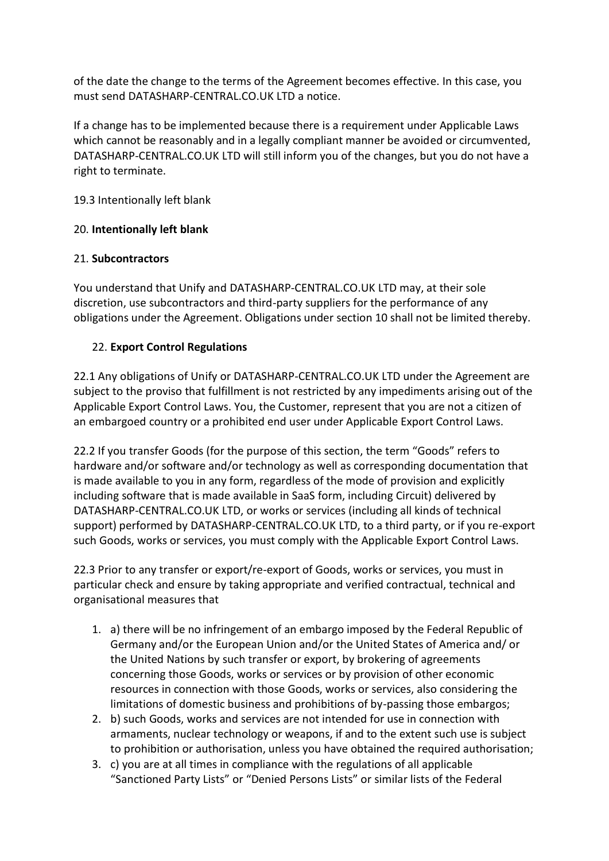of the date the change to the terms of the Agreement becomes effective. In this case, you must send DATASHARP-CENTRAL.CO.UK LTD a notice.

If a change has to be implemented because there is a requirement under Applicable Laws which cannot be reasonably and in a legally compliant manner be avoided or circumvented, DATASHARP-CENTRAL.CO.UK LTD will still inform you of the changes, but you do not have a right to terminate.

19.3 Intentionally left blank

## 20. **Intentionally left blank**

## 21. **Subcontractors**

You understand that Unify and DATASHARP-CENTRAL.CO.UK LTD may, at their sole discretion, use subcontractors and third-party suppliers for the performance of any obligations under the Agreement. Obligations under section 10 shall not be limited thereby.

## 22. **Export Control Regulations**

22.1 Any obligations of Unify or DATASHARP-CENTRAL.CO.UK LTD under the Agreement are subject to the proviso that fulfillment is not restricted by any impediments arising out of the Applicable Export Control Laws. You, the Customer, represent that you are not a citizen of an embargoed country or a prohibited end user under Applicable Export Control Laws.

22.2 If you transfer Goods (for the purpose of this section, the term "Goods" refers to hardware and/or software and/or technology as well as corresponding documentation that is made available to you in any form, regardless of the mode of provision and explicitly including software that is made available in SaaS form, including Circuit) delivered by DATASHARP-CENTRAL.CO.UK LTD, or works or services (including all kinds of technical support) performed by DATASHARP-CENTRAL.CO.UK LTD, to a third party, or if you re-export such Goods, works or services, you must comply with the Applicable Export Control Laws.

22.3 Prior to any transfer or export/re-export of Goods, works or services, you must in particular check and ensure by taking appropriate and verified contractual, technical and organisational measures that

- 1. a) there will be no infringement of an embargo imposed by the Federal Republic of Germany and/or the European Union and/or the United States of America and/ or the United Nations by such transfer or export, by brokering of agreements concerning those Goods, works or services or by provision of other economic resources in connection with those Goods, works or services, also considering the limitations of domestic business and prohibitions of by-passing those embargos;
- 2. b) such Goods, works and services are not intended for use in connection with armaments, nuclear technology or weapons, if and to the extent such use is subject to prohibition or authorisation, unless you have obtained the required authorisation;
- 3. c) you are at all times in compliance with the regulations of all applicable "Sanctioned Party Lists" or "Denied Persons Lists" or similar lists of the Federal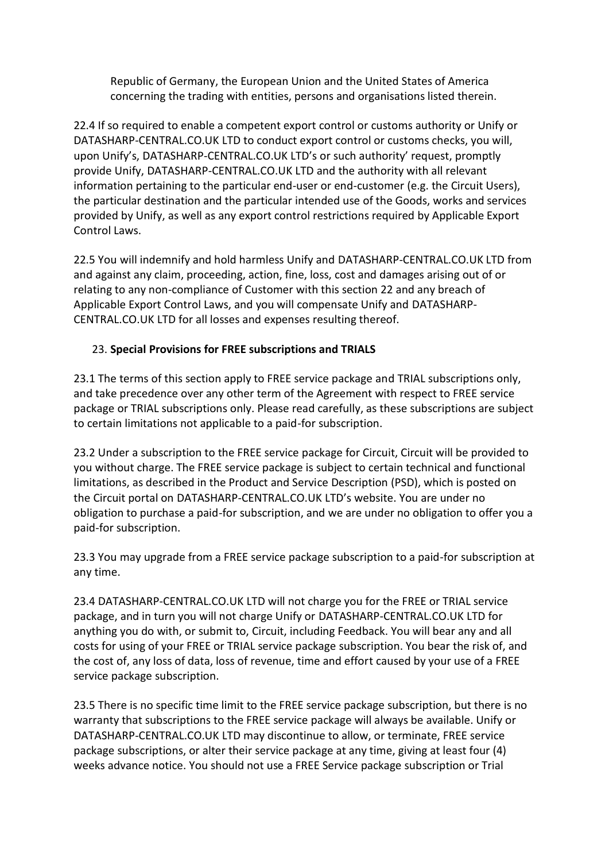Republic of Germany, the European Union and the United States of America concerning the trading with entities, persons and organisations listed therein.

22.4 If so required to enable a competent export control or customs authority or Unify or DATASHARP-CENTRAL.CO.UK LTD to conduct export control or customs checks, you will, upon Unify's, DATASHARP-CENTRAL.CO.UK LTD's or such authority' request, promptly provide Unify, DATASHARP-CENTRAL.CO.UK LTD and the authority with all relevant information pertaining to the particular end-user or end-customer (e.g. the Circuit Users), the particular destination and the particular intended use of the Goods, works and services provided by Unify, as well as any export control restrictions required by Applicable Export Control Laws.

22.5 You will indemnify and hold harmless Unify and DATASHARP-CENTRAL.CO.UK LTD from and against any claim, proceeding, action, fine, loss, cost and damages arising out of or relating to any non-compliance of Customer with this section 22 and any breach of Applicable Export Control Laws, and you will compensate Unify and DATASHARP-CENTRAL.CO.UK LTD for all losses and expenses resulting thereof.

## 23. **Special Provisions for FREE subscriptions and TRIALS**

23.1 The terms of this section apply to FREE service package and TRIAL subscriptions only, and take precedence over any other term of the Agreement with respect to FREE service package or TRIAL subscriptions only. Please read carefully, as these subscriptions are subject to certain limitations not applicable to a paid-for subscription.

23.2 Under a subscription to the FREE service package for Circuit, Circuit will be provided to you without charge. The FREE service package is subject to certain technical and functional limitations, as described in the Product and Service Description (PSD), which is posted on the Circuit portal on DATASHARP-CENTRAL.CO.UK LTD's website. You are under no obligation to purchase a paid-for subscription, and we are under no obligation to offer you a paid-for subscription.

23.3 You may upgrade from a FREE service package subscription to a paid-for subscription at any time.

23.4 DATASHARP-CENTRAL.CO.UK LTD will not charge you for the FREE or TRIAL service package, and in turn you will not charge Unify or DATASHARP-CENTRAL.CO.UK LTD for anything you do with, or submit to, Circuit, including Feedback. You will bear any and all costs for using of your FREE or TRIAL service package subscription. You bear the risk of, and the cost of, any loss of data, loss of revenue, time and effort caused by your use of a FREE service package subscription.

23.5 There is no specific time limit to the FREE service package subscription, but there is no warranty that subscriptions to the FREE service package will always be available. Unify or DATASHARP-CENTRAL.CO.UK LTD may discontinue to allow, or terminate, FREE service package subscriptions, or alter their service package at any time, giving at least four (4) weeks advance notice. You should not use a FREE Service package subscription or Trial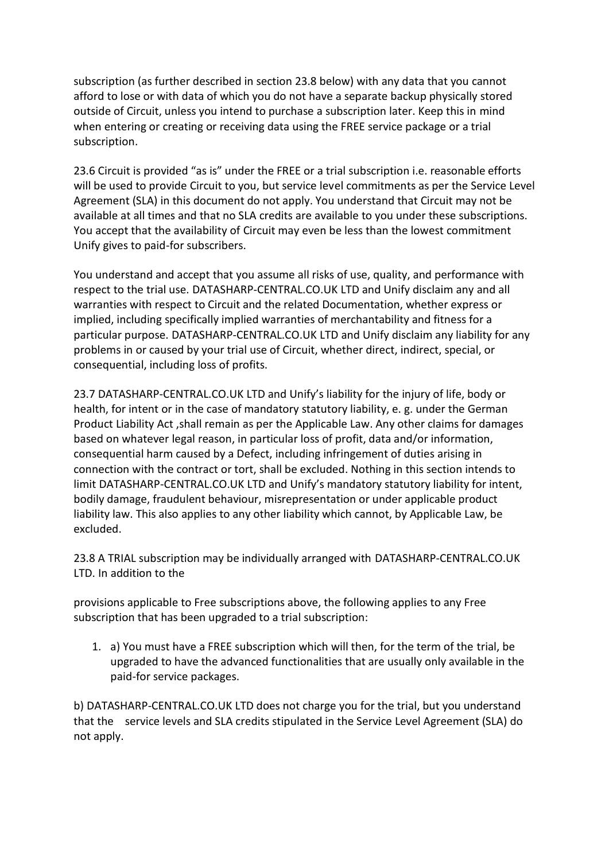subscription (as further described in section 23.8 below) with any data that you cannot afford to lose or with data of which you do not have a separate backup physically stored outside of Circuit, unless you intend to purchase a subscription later. Keep this in mind when entering or creating or receiving data using the FREE service package or a trial subscription.

23.6 Circuit is provided "as is" under the FREE or a trial subscription i.e. reasonable efforts will be used to provide Circuit to you, but service level commitments as per the Service Level Agreement (SLA) in this document do not apply. You understand that Circuit may not be available at all times and that no SLA credits are available to you under these subscriptions. You accept that the availability of Circuit may even be less than the lowest commitment Unify gives to paid-for subscribers.

You understand and accept that you assume all risks of use, quality, and performance with respect to the trial use. DATASHARP-CENTRAL.CO.UK LTD and Unify disclaim any and all warranties with respect to Circuit and the related Documentation, whether express or implied, including specifically implied warranties of merchantability and fitness for a particular purpose. DATASHARP-CENTRAL.CO.UK LTD and Unify disclaim any liability for any problems in or caused by your trial use of Circuit, whether direct, indirect, special, or consequential, including loss of profits.

23.7 DATASHARP-CENTRAL.CO.UK LTD and Unify's liability for the injury of life, body or health, for intent or in the case of mandatory statutory liability, e. g. under the German Product Liability Act, shall remain as per the Applicable Law. Any other claims for damages based on whatever legal reason, in particular loss of profit, data and/or information, consequential harm caused by a Defect, including infringement of duties arising in connection with the contract or tort, shall be excluded. Nothing in this section intends to limit DATASHARP-CENTRAL.CO.UK LTD and Unify's mandatory statutory liability for intent, bodily damage, fraudulent behaviour, misrepresentation or under applicable product liability law. This also applies to any other liability which cannot, by Applicable Law, be excluded.

23.8 A TRIAL subscription may be individually arranged with DATASHARP-CENTRAL.CO.UK LTD. In addition to the

provisions applicable to Free subscriptions above, the following applies to any Free subscription that has been upgraded to a trial subscription:

1. a) You must have a FREE subscription which will then, for the term of the trial, be upgraded to have the advanced functionalities that are usually only available in the paid-for service packages.

b) DATASHARP-CENTRAL.CO.UK LTD does not charge you for the trial, but you understand that the service levels and SLA credits stipulated in the Service Level Agreement (SLA) do not apply.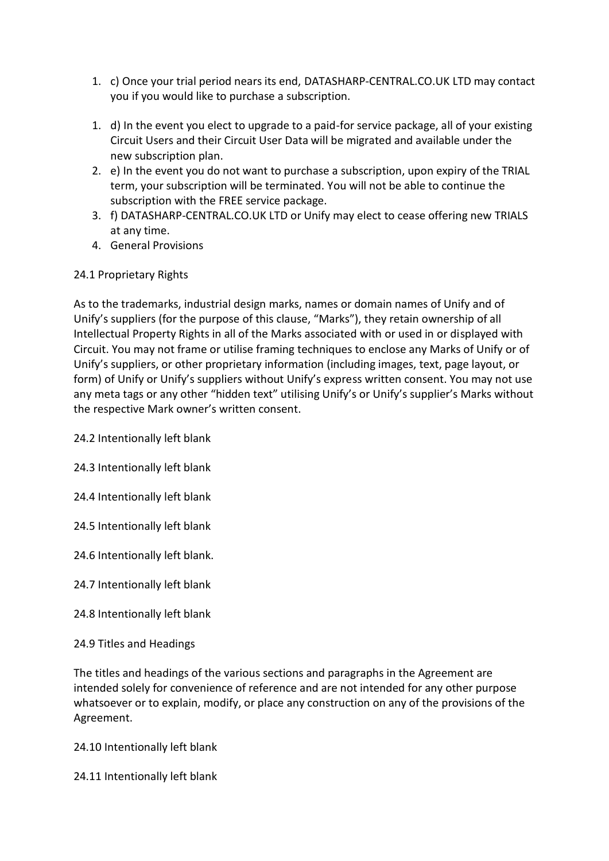- 1. c) Once your trial period nears its end, DATASHARP-CENTRAL.CO.UK LTD may contact you if you would like to purchase a subscription.
- 1. d) In the event you elect to upgrade to a paid-for service package, all of your existing Circuit Users and their Circuit User Data will be migrated and available under the new subscription plan.
- 2. e) In the event you do not want to purchase a subscription, upon expiry of the TRIAL term, your subscription will be terminated. You will not be able to continue the subscription with the FREE service package.
- 3. f) DATASHARP-CENTRAL.CO.UK LTD or Unify may elect to cease offering new TRIALS at any time.
- 4. General Provisions

## 24.1 Proprietary Rights

As to the trademarks, industrial design marks, names or domain names of Unify and of Unify's suppliers (for the purpose of this clause, "Marks"), they retain ownership of all Intellectual Property Rights in all of the Marks associated with or used in or displayed with Circuit. You may not frame or utilise framing techniques to enclose any Marks of Unify or of Unify's suppliers, or other proprietary information (including images, text, page layout, or form) of Unify or Unify's suppliers without Unify's express written consent. You may not use any meta tags or any other "hidden text" utilising Unify's or Unify's supplier's Marks without the respective Mark owner's written consent.

24.2 Intentionally left blank

24.3 Intentionally left blank

24.4 Intentionally left blank

24.5 Intentionally left blank

24.6 Intentionally left blank.

- 24.7 Intentionally left blank
- 24.8 Intentionally left blank
- 24.9 Titles and Headings

The titles and headings of the various sections and paragraphs in the Agreement are intended solely for convenience of reference and are not intended for any other purpose whatsoever or to explain, modify, or place any construction on any of the provisions of the Agreement.

24.10 Intentionally left blank

24.11 Intentionally left blank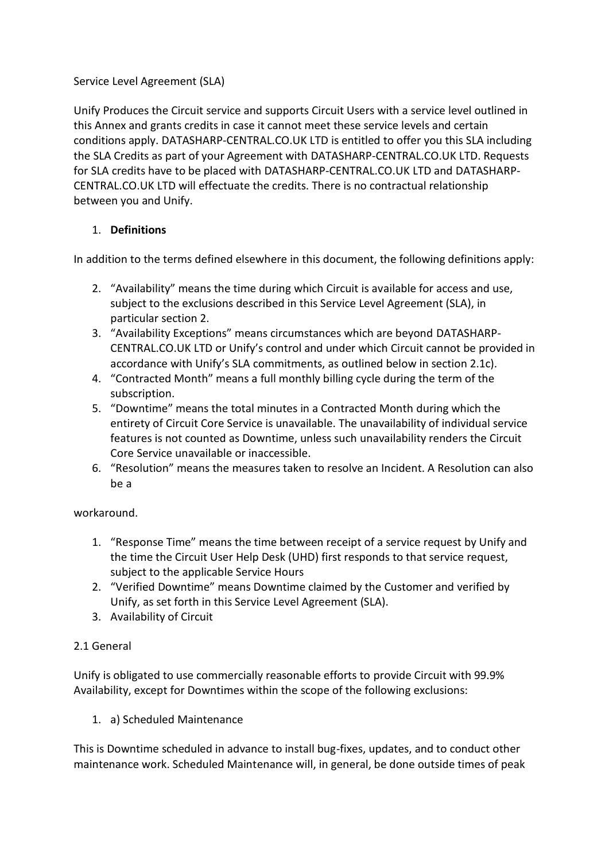## Service Level Agreement (SLA)

Unify Produces the Circuit service and supports Circuit Users with a service level outlined in this Annex and grants credits in case it cannot meet these service levels and certain conditions apply. DATASHARP-CENTRAL.CO.UK LTD is entitled to offer you this SLA including the SLA Credits as part of your Agreement with DATASHARP-CENTRAL.CO.UK LTD. Requests for SLA credits have to be placed with DATASHARP-CENTRAL.CO.UK LTD and DATASHARP-CENTRAL.CO.UK LTD will effectuate the credits. There is no contractual relationship between you and Unify.

## 1. **Definitions**

In addition to the terms defined elsewhere in this document, the following definitions apply:

- 2. "Availability" means the time during which Circuit is available for access and use, subject to the exclusions described in this Service Level Agreement (SLA), in particular section 2.
- 3. "Availability Exceptions" means circumstances which are beyond DATASHARP-CENTRAL.CO.UK LTD or Unify's control and under which Circuit cannot be provided in accordance with Unify's SLA commitments, as outlined below in section 2.1c).
- 4. "Contracted Month" means a full monthly billing cycle during the term of the subscription.
- 5. "Downtime" means the total minutes in a Contracted Month during which the entirety of Circuit Core Service is unavailable. The unavailability of individual service features is not counted as Downtime, unless such unavailability renders the Circuit Core Service unavailable or inaccessible.
- 6. "Resolution" means the measures taken to resolve an Incident. A Resolution can also be a

#### workaround.

- 1. "Response Time" means the time between receipt of a service request by Unify and the time the Circuit User Help Desk (UHD) first responds to that service request, subject to the applicable Service Hours
- 2. "Verified Downtime" means Downtime claimed by the Customer and verified by Unify, as set forth in this Service Level Agreement (SLA).
- 3. Availability of Circuit

# 2.1 General

Unify is obligated to use commercially reasonable efforts to provide Circuit with 99.9% Availability, except for Downtimes within the scope of the following exclusions:

1. a) Scheduled Maintenance

This is Downtime scheduled in advance to install bug-fixes, updates, and to conduct other maintenance work. Scheduled Maintenance will, in general, be done outside times of peak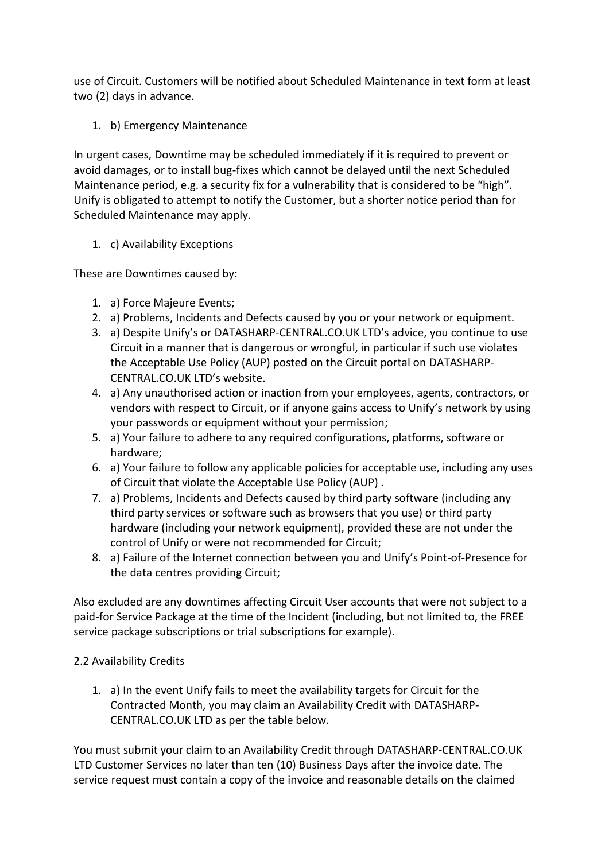use of Circuit. Customers will be notified about Scheduled Maintenance in text form at least two (2) days in advance.

1. b) Emergency Maintenance

In urgent cases, Downtime may be scheduled immediately if it is required to prevent or avoid damages, or to install bug-fixes which cannot be delayed until the next Scheduled Maintenance period, e.g. a security fix for a vulnerability that is considered to be "high". Unify is obligated to attempt to notify the Customer, but a shorter notice period than for Scheduled Maintenance may apply.

## 1. c) Availability Exceptions

These are Downtimes caused by:

- 1. a) Force Majeure Events;
- 2. a) Problems, Incidents and Defects caused by you or your network or equipment.
- 3. a) Despite Unify's or DATASHARP-CENTRAL.CO.UK LTD's advice, you continue to use Circuit in a manner that is dangerous or wrongful, in particular if such use violates the Acceptable Use Policy (AUP) posted on the Circuit portal on DATASHARP-CENTRAL.CO.UK LTD's website.
- 4. a) Any unauthorised action or inaction from your employees, agents, contractors, or vendors with respect to Circuit, or if anyone gains access to Unify's network by using your passwords or equipment without your permission;
- 5. a) Your failure to adhere to any required configurations, platforms, software or hardware;
- 6. a) Your failure to follow any applicable policies for acceptable use, including any uses of Circuit that violate the Acceptable Use Policy (AUP) .
- 7. a) Problems, Incidents and Defects caused by third party software (including any third party services or software such as browsers that you use) or third party hardware (including your network equipment), provided these are not under the control of Unify or were not recommended for Circuit;
- 8. a) Failure of the Internet connection between you and Unify's Point-of-Presence for the data centres providing Circuit;

Also excluded are any downtimes affecting Circuit User accounts that were not subject to a paid-for Service Package at the time of the Incident (including, but not limited to, the FREE service package subscriptions or trial subscriptions for example).

# 2.2 Availability Credits

1. a) In the event Unify fails to meet the availability targets for Circuit for the Contracted Month, you may claim an Availability Credit with DATASHARP-CENTRAL.CO.UK LTD as per the table below.

You must submit your claim to an Availability Credit through DATASHARP-CENTRAL.CO.UK LTD Customer Services no later than ten (10) Business Days after the invoice date. The service request must contain a copy of the invoice and reasonable details on the claimed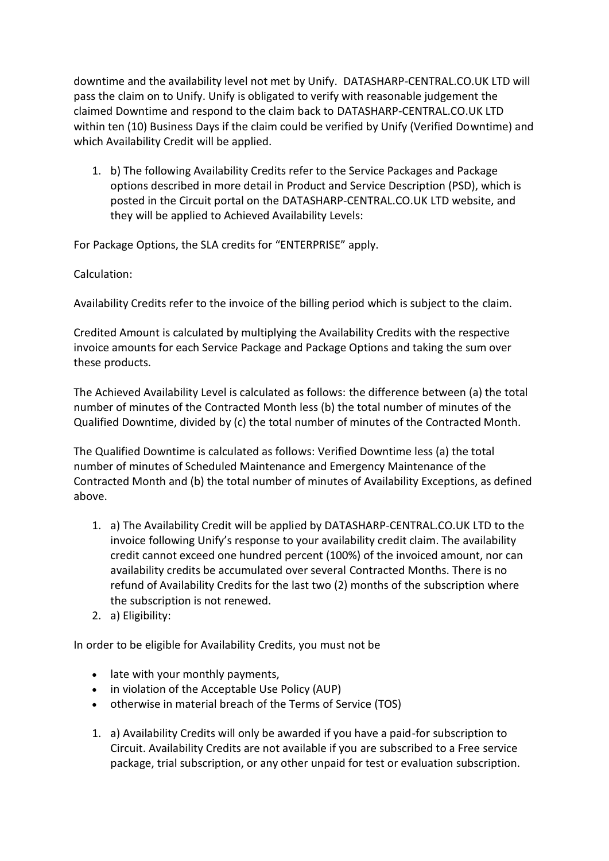downtime and the availability level not met by Unify. DATASHARP-CENTRAL.CO.UK LTD will pass the claim on to Unify. Unify is obligated to verify with reasonable judgement the claimed Downtime and respond to the claim back to DATASHARP-CENTRAL.CO.UK LTD within ten (10) Business Days if the claim could be verified by Unify (Verified Downtime) and which Availability Credit will be applied.

1. b) The following Availability Credits refer to the Service Packages and Package options described in more detail in Product and Service Description (PSD), which is posted in the Circuit portal on the DATASHARP-CENTRAL.CO.UK LTD website, and they will be applied to Achieved Availability Levels:

For Package Options, the SLA credits for "ENTERPRISE" apply.

Calculation:

Availability Credits refer to the invoice of the billing period which is subject to the claim.

Credited Amount is calculated by multiplying the Availability Credits with the respective invoice amounts for each Service Package and Package Options and taking the sum over these products.

The Achieved Availability Level is calculated as follows: the difference between (a) the total number of minutes of the Contracted Month less (b) the total number of minutes of the Qualified Downtime, divided by (c) the total number of minutes of the Contracted Month.

The Qualified Downtime is calculated as follows: Verified Downtime less (a) the total number of minutes of Scheduled Maintenance and Emergency Maintenance of the Contracted Month and (b) the total number of minutes of Availability Exceptions, as defined above.

- 1. a) The Availability Credit will be applied by DATASHARP-CENTRAL.CO.UK LTD to the invoice following Unify's response to your availability credit claim. The availability credit cannot exceed one hundred percent (100%) of the invoiced amount, nor can availability credits be accumulated over several Contracted Months. There is no refund of Availability Credits for the last two (2) months of the subscription where the subscription is not renewed.
- 2. a) Eligibility:

In order to be eligible for Availability Credits, you must not be

- late with your monthly payments,
- in violation of the Acceptable Use Policy (AUP)
- otherwise in material breach of the Terms of Service (TOS)
- 1. a) Availability Credits will only be awarded if you have a paid-for subscription to Circuit. Availability Credits are not available if you are subscribed to a Free service package, trial subscription, or any other unpaid for test or evaluation subscription.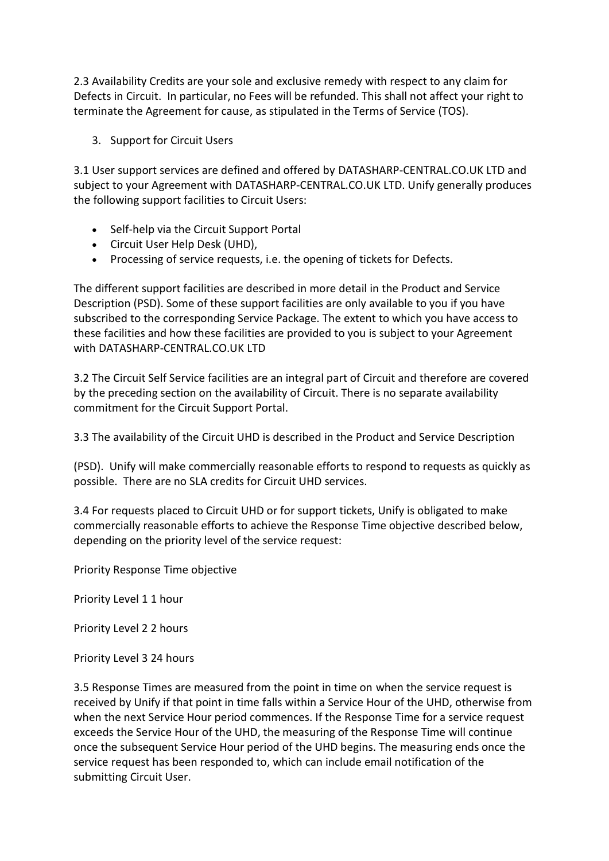2.3 Availability Credits are your sole and exclusive remedy with respect to any claim for Defects in Circuit. In particular, no Fees will be refunded. This shall not affect your right to terminate the Agreement for cause, as stipulated in the Terms of Service (TOS).

3. Support for Circuit Users

3.1 User support services are defined and offered by DATASHARP-CENTRAL.CO.UK LTD and subject to your Agreement with DATASHARP-CENTRAL.CO.UK LTD. Unify generally produces the following support facilities to Circuit Users:

- Self-help via the Circuit Support Portal
- Circuit User Help Desk (UHD),
- Processing of service requests, i.e. the opening of tickets for Defects.

The different support facilities are described in more detail in the Product and Service Description (PSD). Some of these support facilities are only available to you if you have subscribed to the corresponding Service Package. The extent to which you have access to these facilities and how these facilities are provided to you is subject to your Agreement with DATASHARP-CENTRAL.CO.UK LTD

3.2 The Circuit Self Service facilities are an integral part of Circuit and therefore are covered by the preceding section on the availability of Circuit. There is no separate availability commitment for the Circuit Support Portal.

3.3 The availability of the Circuit UHD is described in the Product and Service Description

(PSD). Unify will make commercially reasonable efforts to respond to requests as quickly as possible. There are no SLA credits for Circuit UHD services.

3.4 For requests placed to Circuit UHD or for support tickets, Unify is obligated to make commercially reasonable efforts to achieve the Response Time objective described below, depending on the priority level of the service request:

Priority Response Time objective

Priority Level 1 1 hour

Priority Level 2 2 hours

Priority Level 3 24 hours

3.5 Response Times are measured from the point in time on when the service request is received by Unify if that point in time falls within a Service Hour of the UHD, otherwise from when the next Service Hour period commences. If the Response Time for a service request exceeds the Service Hour of the UHD, the measuring of the Response Time will continue once the subsequent Service Hour period of the UHD begins. The measuring ends once the service request has been responded to, which can include email notification of the submitting Circuit User.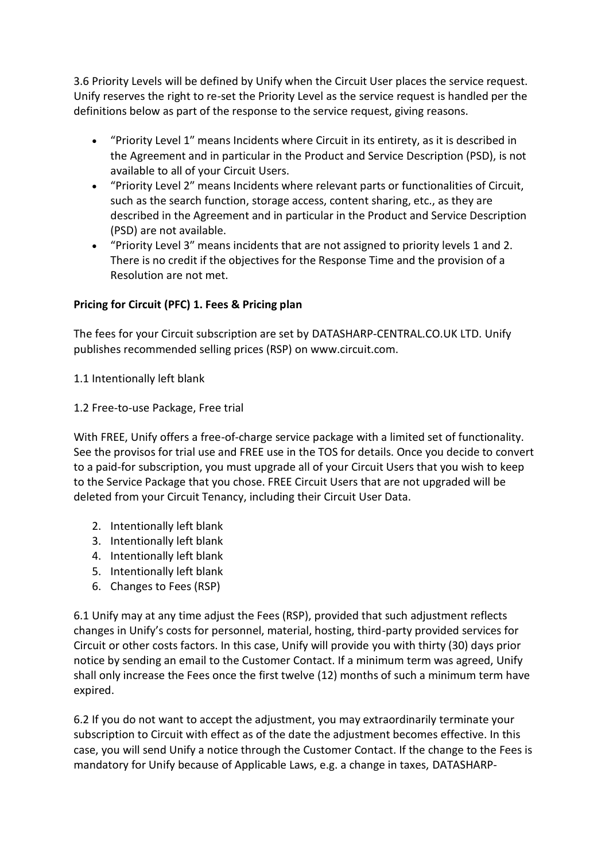3.6 Priority Levels will be defined by Unify when the Circuit User places the service request. Unify reserves the right to re-set the Priority Level as the service request is handled per the definitions below as part of the response to the service request, giving reasons.

- "Priority Level 1″ means Incidents where Circuit in its entirety, as it is described in the Agreement and in particular in the Product and Service Description (PSD), is not available to all of your Circuit Users.
- "Priority Level 2″ means Incidents where relevant parts or functionalities of Circuit, such as the search function, storage access, content sharing, etc., as they are described in the Agreement and in particular in the Product and Service Description (PSD) are not available.
- "Priority Level 3″ means incidents that are not assigned to priority levels 1 and 2. There is no credit if the objectives for the Response Time and the provision of a Resolution are not met.

## **Pricing for Circuit (PFC) 1. Fees & Pricing plan**

The fees for your Circuit subscription are set by DATASHARP-CENTRAL.CO.UK LTD. Unify publishes recommended selling prices (RSP) on www.circuit.com.

1.1 Intentionally left blank

#### 1.2 Free-to-use Package, Free trial

With FREE, Unify offers a free-of-charge service package with a limited set of functionality. See the provisos for trial use and FREE use in the TOS for details. Once you decide to convert to a paid-for subscription, you must upgrade all of your Circuit Users that you wish to keep to the Service Package that you chose. FREE Circuit Users that are not upgraded will be deleted from your Circuit Tenancy, including their Circuit User Data.

- 2. Intentionally left blank
- 3. Intentionally left blank
- 4. Intentionally left blank
- 5. Intentionally left blank
- 6. Changes to Fees (RSP)

6.1 Unify may at any time adjust the Fees (RSP), provided that such adjustment reflects changes in Unify's costs for personnel, material, hosting, third-party provided services for Circuit or other costs factors. In this case, Unify will provide you with thirty (30) days prior notice by sending an email to the Customer Contact. If a minimum term was agreed, Unify shall only increase the Fees once the first twelve (12) months of such a minimum term have expired.

6.2 If you do not want to accept the adjustment, you may extraordinarily terminate your subscription to Circuit with effect as of the date the adjustment becomes effective. In this case, you will send Unify a notice through the Customer Contact. If the change to the Fees is mandatory for Unify because of Applicable Laws, e.g. a change in taxes, DATASHARP-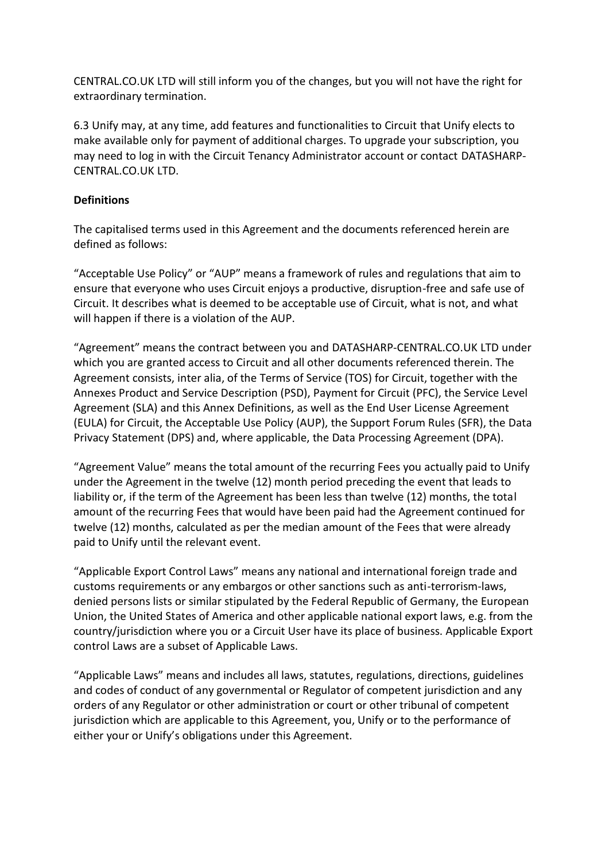CENTRAL.CO.UK LTD will still inform you of the changes, but you will not have the right for extraordinary termination.

6.3 Unify may, at any time, add features and functionalities to Circuit that Unify elects to make available only for payment of additional charges. To upgrade your subscription, you may need to log in with the Circuit Tenancy Administrator account or contact DATASHARP-CENTRAL.CO.UK LTD.

#### **Definitions**

The capitalised terms used in this Agreement and the documents referenced herein are defined as follows:

"Acceptable Use Policy" or "AUP" means a framework of rules and regulations that aim to ensure that everyone who uses Circuit enjoys a productive, disruption-free and safe use of Circuit. It describes what is deemed to be acceptable use of Circuit, what is not, and what will happen if there is a violation of the AUP.

"Agreement" means the contract between you and DATASHARP-CENTRAL.CO.UK LTD under which you are granted access to Circuit and all other documents referenced therein. The Agreement consists, inter alia, of the Terms of Service (TOS) for Circuit, together with the Annexes Product and Service Description (PSD), Payment for Circuit (PFC), the Service Level Agreement (SLA) and this Annex Definitions, as well as the End User License Agreement (EULA) for Circuit, the Acceptable Use Policy (AUP), the Support Forum Rules (SFR), the Data Privacy Statement (DPS) and, where applicable, the Data Processing Agreement (DPA).

"Agreement Value" means the total amount of the recurring Fees you actually paid to Unify under the Agreement in the twelve (12) month period preceding the event that leads to liability or, if the term of the Agreement has been less than twelve (12) months, the total amount of the recurring Fees that would have been paid had the Agreement continued for twelve (12) months, calculated as per the median amount of the Fees that were already paid to Unify until the relevant event.

"Applicable Export Control Laws" means any national and international foreign trade and customs requirements or any embargos or other sanctions such as anti-terrorism-laws, denied persons lists or similar stipulated by the Federal Republic of Germany, the European Union, the United States of America and other applicable national export laws, e.g. from the country/jurisdiction where you or a Circuit User have its place of business. Applicable Export control Laws are a subset of Applicable Laws.

"Applicable Laws" means and includes all laws, statutes, regulations, directions, guidelines and codes of conduct of any governmental or Regulator of competent jurisdiction and any orders of any Regulator or other administration or court or other tribunal of competent jurisdiction which are applicable to this Agreement, you, Unify or to the performance of either your or Unify's obligations under this Agreement.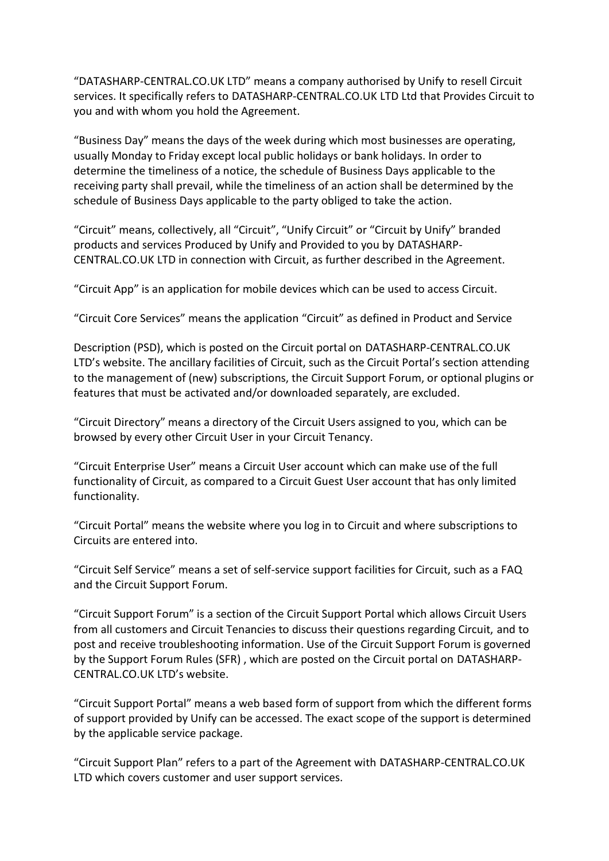"DATASHARP-CENTRAL.CO.UK LTD" means a company authorised by Unify to resell Circuit services. It specifically refers to DATASHARP-CENTRAL.CO.UK LTD Ltd that Provides Circuit to you and with whom you hold the Agreement.

"Business Day" means the days of the week during which most businesses are operating, usually Monday to Friday except local public holidays or bank holidays. In order to determine the timeliness of a notice, the schedule of Business Days applicable to the receiving party shall prevail, while the timeliness of an action shall be determined by the schedule of Business Days applicable to the party obliged to take the action.

"Circuit" means, collectively, all "Circuit", "Unify Circuit" or "Circuit by Unify" branded products and services Produced by Unify and Provided to you by DATASHARP-CENTRAL.CO.UK LTD in connection with Circuit, as further described in the Agreement.

"Circuit App" is an application for mobile devices which can be used to access Circuit.

"Circuit Core Services" means the application "Circuit" as defined in Product and Service

Description (PSD), which is posted on the Circuit portal on DATASHARP-CENTRAL.CO.UK LTD's website. The ancillary facilities of Circuit, such as the Circuit Portal's section attending to the management of (new) subscriptions, the Circuit Support Forum, or optional plugins or features that must be activated and/or downloaded separately, are excluded.

"Circuit Directory" means a directory of the Circuit Users assigned to you, which can be browsed by every other Circuit User in your Circuit Tenancy.

"Circuit Enterprise User" means a Circuit User account which can make use of the full functionality of Circuit, as compared to a Circuit Guest User account that has only limited functionality.

"Circuit Portal" means the website where you log in to Circuit and where subscriptions to Circuits are entered into.

"Circuit Self Service" means a set of self-service support facilities for Circuit, such as a FAQ and the Circuit Support Forum.

"Circuit Support Forum" is a section of the Circuit Support Portal which allows Circuit Users from all customers and Circuit Tenancies to discuss their questions regarding Circuit, and to post and receive troubleshooting information. Use of the Circuit Support Forum is governed by the Support Forum Rules (SFR) , which are posted on the Circuit portal on DATASHARP-CENTRAL.CO.UK LTD's website.

"Circuit Support Portal" means a web based form of support from which the different forms of support provided by Unify can be accessed. The exact scope of the support is determined by the applicable service package.

"Circuit Support Plan" refers to a part of the Agreement with DATASHARP-CENTRAL.CO.UK LTD which covers customer and user support services.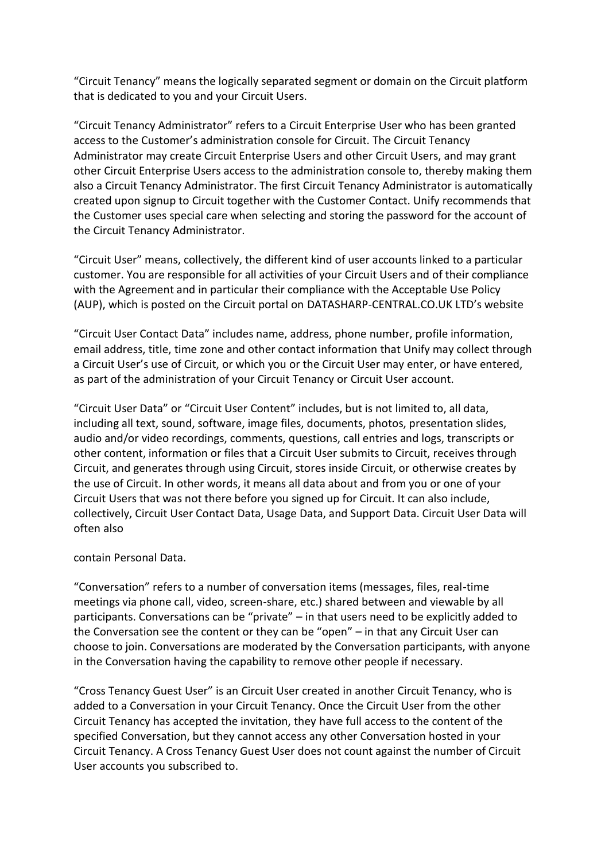"Circuit Tenancy" means the logically separated segment or domain on the Circuit platform that is dedicated to you and your Circuit Users.

"Circuit Tenancy Administrator" refers to a Circuit Enterprise User who has been granted access to the Customer's administration console for Circuit. The Circuit Tenancy Administrator may create Circuit Enterprise Users and other Circuit Users, and may grant other Circuit Enterprise Users access to the administration console to, thereby making them also a Circuit Tenancy Administrator. The first Circuit Tenancy Administrator is automatically created upon signup to Circuit together with the Customer Contact. Unify recommends that the Customer uses special care when selecting and storing the password for the account of the Circuit Tenancy Administrator.

"Circuit User" means, collectively, the different kind of user accounts linked to a particular customer. You are responsible for all activities of your Circuit Users and of their compliance with the Agreement and in particular their compliance with the Acceptable Use Policy (AUP), which is posted on the Circuit portal on DATASHARP-CENTRAL.CO.UK LTD's website

"Circuit User Contact Data" includes name, address, phone number, profile information, email address, title, time zone and other contact information that Unify may collect through a Circuit User's use of Circuit, or which you or the Circuit User may enter, or have entered, as part of the administration of your Circuit Tenancy or Circuit User account.

"Circuit User Data" or "Circuit User Content" includes, but is not limited to, all data, including all text, sound, software, image files, documents, photos, presentation slides, audio and/or video recordings, comments, questions, call entries and logs, transcripts or other content, information or files that a Circuit User submits to Circuit, receives through Circuit, and generates through using Circuit, stores inside Circuit, or otherwise creates by the use of Circuit. In other words, it means all data about and from you or one of your Circuit Users that was not there before you signed up for Circuit. It can also include, collectively, Circuit User Contact Data, Usage Data, and Support Data. Circuit User Data will often also

contain Personal Data.

"Conversation" refers to a number of conversation items (messages, files, real-time meetings via phone call, video, screen-share, etc.) shared between and viewable by all participants. Conversations can be "private" – in that users need to be explicitly added to the Conversation see the content or they can be "open" – in that any Circuit User can choose to join. Conversations are moderated by the Conversation participants, with anyone in the Conversation having the capability to remove other people if necessary.

"Cross Tenancy Guest User" is an Circuit User created in another Circuit Tenancy, who is added to a Conversation in your Circuit Tenancy. Once the Circuit User from the other Circuit Tenancy has accepted the invitation, they have full access to the content of the specified Conversation, but they cannot access any other Conversation hosted in your Circuit Tenancy. A Cross Tenancy Guest User does not count against the number of Circuit User accounts you subscribed to.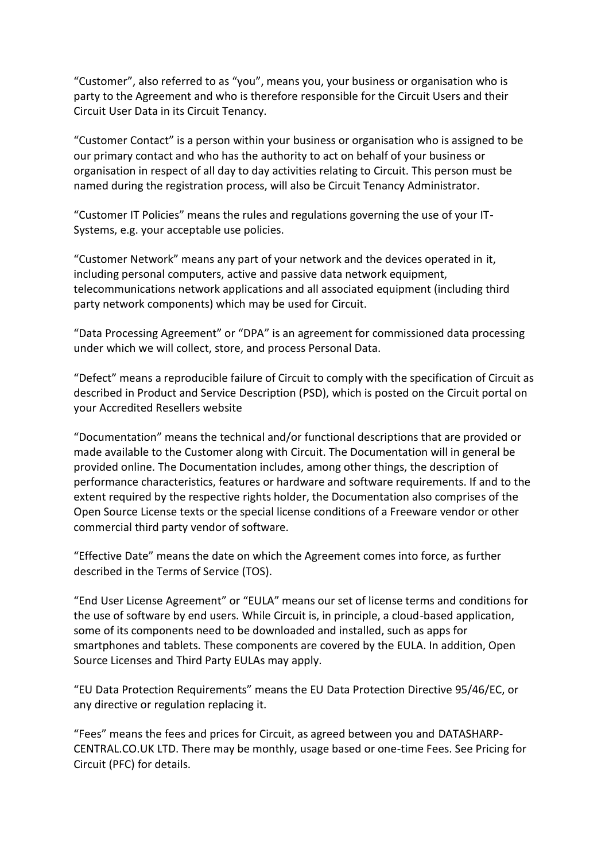"Customer", also referred to as "you", means you, your business or organisation who is party to the Agreement and who is therefore responsible for the Circuit Users and their Circuit User Data in its Circuit Tenancy.

"Customer Contact" is a person within your business or organisation who is assigned to be our primary contact and who has the authority to act on behalf of your business or organisation in respect of all day to day activities relating to Circuit. This person must be named during the registration process, will also be Circuit Tenancy Administrator.

"Customer IT Policies" means the rules and regulations governing the use of your IT-Systems, e.g. your acceptable use policies.

"Customer Network" means any part of your network and the devices operated in it, including personal computers, active and passive data network equipment, telecommunications network applications and all associated equipment (including third party network components) which may be used for Circuit.

"Data Processing Agreement" or "DPA" is an agreement for commissioned data processing under which we will collect, store, and process Personal Data.

"Defect" means a reproducible failure of Circuit to comply with the specification of Circuit as described in Product and Service Description (PSD), which is posted on the Circuit portal on your Accredited Resellers website

"Documentation" means the technical and/or functional descriptions that are provided or made available to the Customer along with Circuit. The Documentation will in general be provided online. The Documentation includes, among other things, the description of performance characteristics, features or hardware and software requirements. If and to the extent required by the respective rights holder, the Documentation also comprises of the Open Source License texts or the special license conditions of a Freeware vendor or other commercial third party vendor of software.

"Effective Date" means the date on which the Agreement comes into force, as further described in the Terms of Service (TOS).

"End User License Agreement" or "EULA" means our set of license terms and conditions for the use of software by end users. While Circuit is, in principle, a cloud-based application, some of its components need to be downloaded and installed, such as apps for smartphones and tablets. These components are covered by the EULA. In addition, Open Source Licenses and Third Party EULAs may apply.

"EU Data Protection Requirements" means the EU Data Protection Directive 95/46/EC, or any directive or regulation replacing it.

"Fees" means the fees and prices for Circuit, as agreed between you and DATASHARP-CENTRAL.CO.UK LTD. There may be monthly, usage based or one-time Fees. See Pricing for Circuit (PFC) for details.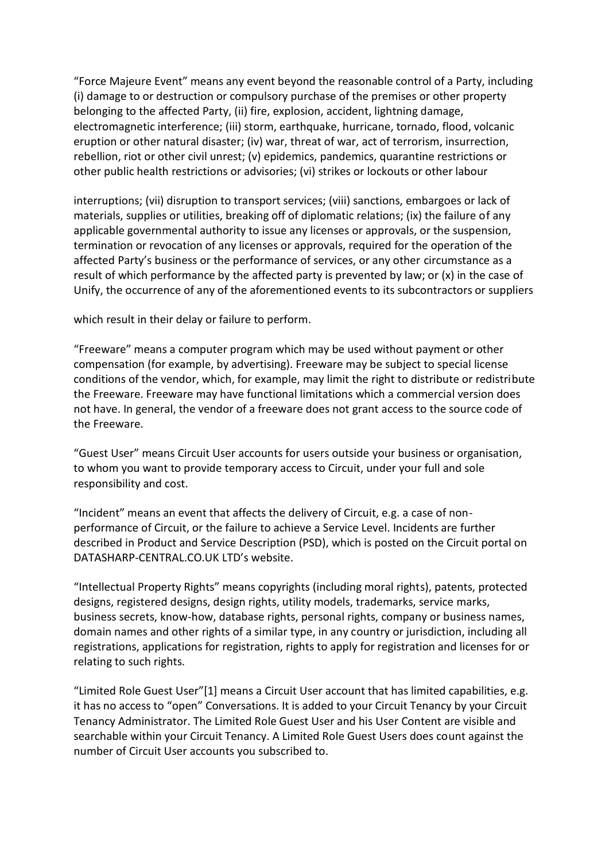"Force Majeure Event" means any event beyond the reasonable control of a Party, including (i) damage to or destruction or compulsory purchase of the premises or other property belonging to the affected Party, (ii) fire, explosion, accident, lightning damage, electromagnetic interference; (iii) storm, earthquake, hurricane, tornado, flood, volcanic eruption or other natural disaster; (iv) war, threat of war, act of terrorism, insurrection, rebellion, riot or other civil unrest; (v) epidemics, pandemics, quarantine restrictions or other public health restrictions or advisories; (vi) strikes or lockouts or other labour

interruptions; (vii) disruption to transport services; (viii) sanctions, embargoes or lack of materials, supplies or utilities, breaking off of diplomatic relations; (ix) the failure of any applicable governmental authority to issue any licenses or approvals, or the suspension, termination or revocation of any licenses or approvals, required for the operation of the affected Party's business or the performance of services, or any other circumstance as a result of which performance by the affected party is prevented by law; or (x) in the case of Unify, the occurrence of any of the aforementioned events to its subcontractors or suppliers

which result in their delay or failure to perform.

"Freeware" means a computer program which may be used without payment or other compensation (for example, by advertising). Freeware may be subject to special license conditions of the vendor, which, for example, may limit the right to distribute or redistribute the Freeware. Freeware may have functional limitations which a commercial version does not have. In general, the vendor of a freeware does not grant access to the source code of the Freeware.

"Guest User" means Circuit User accounts for users outside your business or organisation, to whom you want to provide temporary access to Circuit, under your full and sole responsibility and cost.

"Incident" means an event that affects the delivery of Circuit, e.g. a case of nonperformance of Circuit, or the failure to achieve a Service Level. Incidents are further described in Product and Service Description (PSD), which is posted on the Circuit portal on DATASHARP-CENTRAL.CO.UK LTD's website.

"Intellectual Property Rights" means copyrights (including moral rights), patents, protected designs, registered designs, design rights, utility models, trademarks, service marks, business secrets, know-how, database rights, personal rights, company or business names, domain names and other rights of a similar type, in any country or jurisdiction, including all registrations, applications for registration, rights to apply for registration and licenses for or relating to such rights.

"Limited Role Guest User"[1] means a Circuit User account that has limited capabilities, e.g. it has no access to "open" Conversations. It is added to your Circuit Tenancy by your Circuit Tenancy Administrator. The Limited Role Guest User and his User Content are visible and searchable within your Circuit Tenancy. A Limited Role Guest Users does count against the number of Circuit User accounts you subscribed to.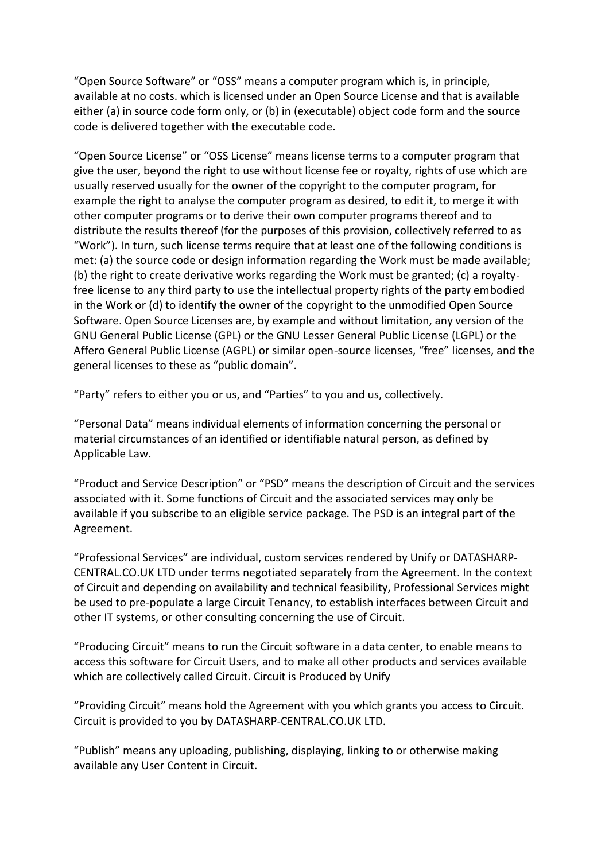"Open Source Software" or "OSS" means a computer program which is, in principle, available at no costs. which is licensed under an Open Source License and that is available either (a) in source code form only, or (b) in (executable) object code form and the source code is delivered together with the executable code.

"Open Source License" or "OSS License" means license terms to a computer program that give the user, beyond the right to use without license fee or royalty, rights of use which are usually reserved usually for the owner of the copyright to the computer program, for example the right to analyse the computer program as desired, to edit it, to merge it with other computer programs or to derive their own computer programs thereof and to distribute the results thereof (for the purposes of this provision, collectively referred to as "Work"). In turn, such license terms require that at least one of the following conditions is met: (a) the source code or design information regarding the Work must be made available; (b) the right to create derivative works regarding the Work must be granted; (c) a royaltyfree license to any third party to use the intellectual property rights of the party embodied in the Work or (d) to identify the owner of the copyright to the unmodified Open Source Software. Open Source Licenses are, by example and without limitation, any version of the GNU General Public License (GPL) or the GNU Lesser General Public License (LGPL) or the Affero General Public License (AGPL) or similar open-source licenses, "free" licenses, and the general licenses to these as "public domain".

"Party" refers to either you or us, and "Parties" to you and us, collectively.

"Personal Data" means individual elements of information concerning the personal or material circumstances of an identified or identifiable natural person, as defined by Applicable Law.

"Product and Service Description" or "PSD" means the description of Circuit and the services associated with it. Some functions of Circuit and the associated services may only be available if you subscribe to an eligible service package. The PSD is an integral part of the Agreement.

"Professional Services" are individual, custom services rendered by Unify or DATASHARP-CENTRAL.CO.UK LTD under terms negotiated separately from the Agreement. In the context of Circuit and depending on availability and technical feasibility, Professional Services might be used to pre-populate a large Circuit Tenancy, to establish interfaces between Circuit and other IT systems, or other consulting concerning the use of Circuit.

"Producing Circuit" means to run the Circuit software in a data center, to enable means to access this software for Circuit Users, and to make all other products and services available which are collectively called Circuit. Circuit is Produced by Unify

"Providing Circuit" means hold the Agreement with you which grants you access to Circuit. Circuit is provided to you by DATASHARP-CENTRAL.CO.UK LTD.

"Publish" means any uploading, publishing, displaying, linking to or otherwise making available any User Content in Circuit.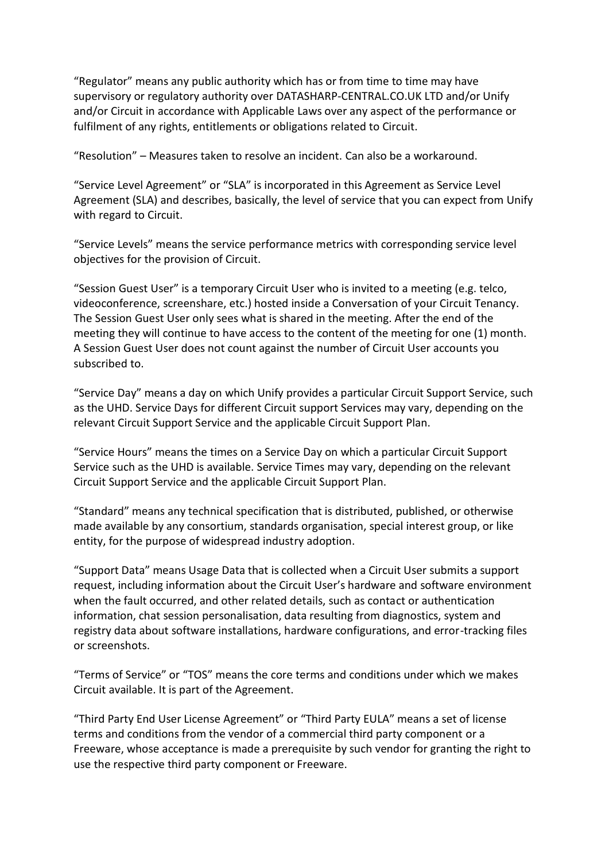"Regulator" means any public authority which has or from time to time may have supervisory or regulatory authority over DATASHARP-CENTRAL.CO.UK LTD and/or Unify and/or Circuit in accordance with Applicable Laws over any aspect of the performance or fulfilment of any rights, entitlements or obligations related to Circuit.

"Resolution" – Measures taken to resolve an incident. Can also be a workaround.

"Service Level Agreement" or "SLA" is incorporated in this Agreement as Service Level Agreement (SLA) and describes, basically, the level of service that you can expect from Unify with regard to Circuit.

"Service Levels" means the service performance metrics with corresponding service level objectives for the provision of Circuit.

"Session Guest User" is a temporary Circuit User who is invited to a meeting (e.g. telco, videoconference, screenshare, etc.) hosted inside a Conversation of your Circuit Tenancy. The Session Guest User only sees what is shared in the meeting. After the end of the meeting they will continue to have access to the content of the meeting for one (1) month. A Session Guest User does not count against the number of Circuit User accounts you subscribed to.

"Service Day" means a day on which Unify provides a particular Circuit Support Service, such as the UHD. Service Days for different Circuit support Services may vary, depending on the relevant Circuit Support Service and the applicable Circuit Support Plan.

"Service Hours" means the times on a Service Day on which a particular Circuit Support Service such as the UHD is available. Service Times may vary, depending on the relevant Circuit Support Service and the applicable Circuit Support Plan.

"Standard" means any technical specification that is distributed, published, or otherwise made available by any consortium, standards organisation, special interest group, or like entity, for the purpose of widespread industry adoption.

"Support Data" means Usage Data that is collected when a Circuit User submits a support request, including information about the Circuit User's hardware and software environment when the fault occurred, and other related details, such as contact or authentication information, chat session personalisation, data resulting from diagnostics, system and registry data about software installations, hardware configurations, and error-tracking files or screenshots.

"Terms of Service" or "TOS" means the core terms and conditions under which we makes Circuit available. It is part of the Agreement.

"Third Party End User License Agreement" or "Third Party EULA" means a set of license terms and conditions from the vendor of a commercial third party component or a Freeware, whose acceptance is made a prerequisite by such vendor for granting the right to use the respective third party component or Freeware.